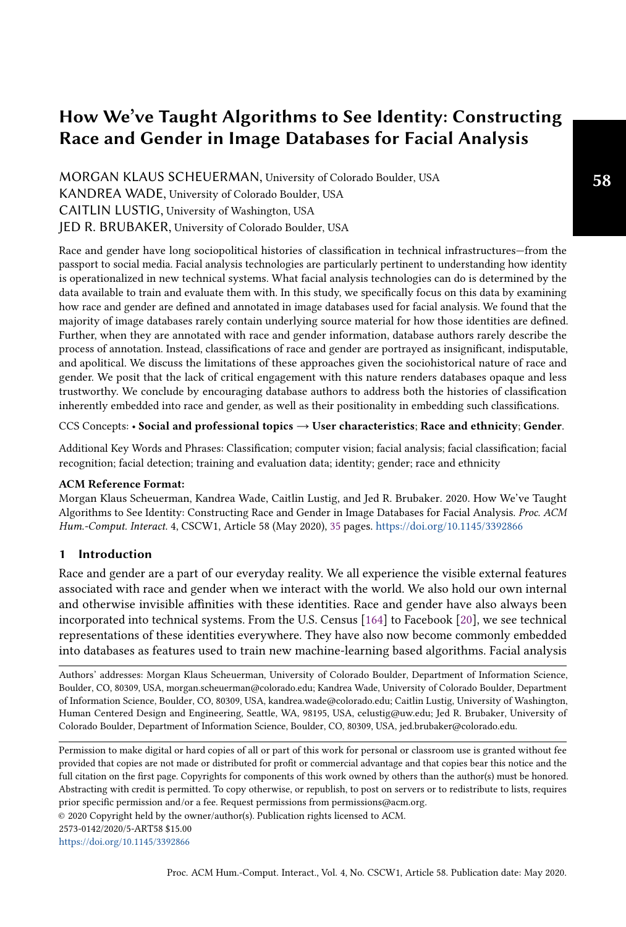# How We've Taught Algorithms to See Identity: Constructing Race and Gender in Image Databases for Facial Analysis

MORGAN KLAUS SCHEUERMAN, University of Colorado Boulder, USA KANDREA WADE, University of Colorado Boulder, USA CAITLIN LUSTIG, University of Washington, USA JED R. BRUBAKER, University of Colorado Boulder, USA

Race and gender have long sociopolitical histories of classification in technical infrastructures—from the passport to social media. Facial analysis technologies are particularly pertinent to understanding how identity is operationalized in new technical systems. What facial analysis technologies can do is determined by the data available to train and evaluate them with. In this study, we specifically focus on this data by examining how race and gender are defined and annotated in image databases used for facial analysis. We found that the majority of image databases rarely contain underlying source material for how those identities are defined. Further, when they are annotated with race and gender information, database authors rarely describe the process of annotation. Instead, classifications of race and gender are portrayed as insignificant, indisputable, and apolitical. We discuss the limitations of these approaches given the sociohistorical nature of race and gender. We posit that the lack of critical engagement with this nature renders databases opaque and less trustworthy. We conclude by encouraging database authors to address both the histories of classification inherently embedded into race and gender, as well as their positionality in embedding such classifications.

CCS Concepts: • Social and professional topics → User characteristics; Race and ethnicity; Gender.

Additional Key Words and Phrases: Classification; computer vision; facial analysis; facial classification; facial recognition; facial detection; training and evaluation data; identity; gender; race and ethnicity

#### ACM Reference Format:

Morgan Klaus Scheuerman, Kandrea Wade, Caitlin Lustig, and Jed R. Brubaker. 2020. How We've Taught Algorithms to See Identity: Constructing Race and Gender in Image Databases for Facial Analysis. Proc. ACM Hum.-Comput. Interact. 4, CSCW1, Article 58 (May 2020), [35](#page-34-0) pages. <https://doi.org/10.1145/3392866>

#### 1 Introduction

Race and gender are a part of our everyday reality. We all experience the visible external features associated with race and gender when we interact with the world. We also hold our own internal and otherwise invisible affinities with these identities. Race and gender have also always been incorporated into technical systems. From the U.S. Census [\[164\]](#page-33-0) to Facebook [\[20\]](#page-27-0), we see technical representations of these identities everywhere. They have also now become commonly embedded into databases as features used to train new machine-learning based algorithms. Facial analysis

Authors' addresses: Morgan Klaus Scheuerman, University of Colorado Boulder, Department of Information Science, Boulder, CO, 80309, USA, morgan.scheuerman@colorado.edu; Kandrea Wade, University of Colorado Boulder, Department of Information Science, Boulder, CO, 80309, USA, kandrea.wade@colorado.edu; Caitlin Lustig, University of Washington, Human Centered Design and Engineering, Seattle, WA, 98195, USA, celustig@uw.edu; Jed R. Brubaker, University of Colorado Boulder, Department of Information Science, Boulder, CO, 80309, USA, jed.brubaker@colorado.edu.

© 2020 Copyright held by the owner/author(s). Publication rights licensed to ACM.

<https://doi.org/10.1145/3392866>

Permission to make digital or hard copies of all or part of this work for personal or classroom use is granted without fee provided that copies are not made or distributed for profit or commercial advantage and that copies bear this notice and the full citation on the first page. Copyrights for components of this work owned by others than the author(s) must be honored. Abstracting with credit is permitted. To copy otherwise, or republish, to post on servers or to redistribute to lists, requires prior specific permission and/or a fee. Request permissions from permissions@acm.org.

<sup>2573-0142/2020/5-</sup>ART58 \$15.00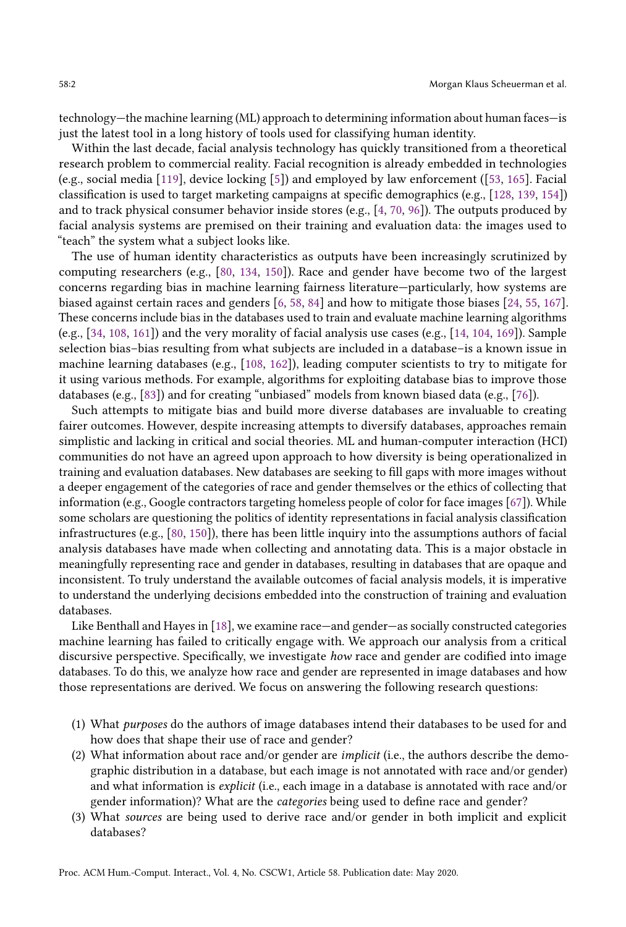technology—the machine learning (ML) approach to determining information about human faces—is just the latest tool in a long history of tools used for classifying human identity.

Within the last decade, facial analysis technology has quickly transitioned from a theoretical research problem to commercial reality. Facial recognition is already embedded in technologies (e.g., social media [\[119\]](#page-31-0), device locking [\[5\]](#page-27-1)) and employed by law enforcement ([\[53,](#page-29-0) [165\]](#page-34-1). Facial classification is used to target marketing campaigns at specific demographics (e.g., [\[128,](#page-32-0) [139,](#page-32-1) [154\]](#page-33-1)) and to track physical consumer behavior inside stores (e.g., [\[4,](#page-26-0) [70,](#page-29-1) [96\]](#page-31-1)). The outputs produced by facial analysis systems are premised on their training and evaluation data: the images used to "teach" the system what a subject looks like.

The use of human identity characteristics as outputs have been increasingly scrutinized by computing researchers (e.g., [\[80,](#page-30-0) [134,](#page-32-2) [150\]](#page-33-2)). Race and gender have become two of the largest concerns regarding bias in machine learning fairness literature—particularly, how systems are biased against certain races and genders [\[6,](#page-27-2) [58,](#page-29-2) [84\]](#page-30-1) and how to mitigate those biases [\[24,](#page-27-3) [55,](#page-29-3) [167\]](#page-34-2). These concerns include bias in the databases used to train and evaluate machine learning algorithms (e.g., [\[34,](#page-28-0) [108,](#page-31-2) [161\]](#page-33-3)) and the very morality of facial analysis use cases (e.g., [\[14,](#page-27-4) [104,](#page-31-3) [169\]](#page-34-3)). Sample selection bias–bias resulting from what subjects are included in a database–is a known issue in machine learning databases (e.g., [\[108,](#page-31-2) [162\]](#page-33-4)), leading computer scientists to try to mitigate for it using various methods. For example, algorithms for exploiting database bias to improve those databases (e.g., [\[83\]](#page-30-2)) and for creating "unbiased" models from known biased data (e.g., [\[76\]](#page-30-3)).

Such attempts to mitigate bias and build more diverse databases are invaluable to creating fairer outcomes. However, despite increasing attempts to diversify databases, approaches remain simplistic and lacking in critical and social theories. ML and human-computer interaction (HCI) communities do not have an agreed upon approach to how diversity is being operationalized in training and evaluation databases. New databases are seeking to fill gaps with more images without a deeper engagement of the categories of race and gender themselves or the ethics of collecting that information (e.g., Google contractors targeting homeless people of color for face images [\[67\]](#page-29-4)). While some scholars are questioning the politics of identity representations in facial analysis classification infrastructures (e.g., [\[80,](#page-30-0) [150\]](#page-33-2)), there has been little inquiry into the assumptions authors of facial analysis databases have made when collecting and annotating data. This is a major obstacle in meaningfully representing race and gender in databases, resulting in databases that are opaque and inconsistent. To truly understand the available outcomes of facial analysis models, it is imperative to understand the underlying decisions embedded into the construction of training and evaluation databases.

Like Benthall and Hayes in [\[18\]](#page-27-5), we examine race—and gender—as socially constructed categories machine learning has failed to critically engage with. We approach our analysis from a critical discursive perspective. Specifically, we investigate how race and gender are codified into image databases. To do this, we analyze how race and gender are represented in image databases and how those representations are derived. We focus on answering the following research questions:

- (1) What purposes do the authors of image databases intend their databases to be used for and how does that shape their use of race and gender?
- (2) What information about race and/or gender are implicit (i.e., the authors describe the demographic distribution in a database, but each image is not annotated with race and/or gender) and what information is explicit (i.e., each image in a database is annotated with race and/or gender information)? What are the categories being used to define race and gender?
- (3) What sources are being used to derive race and/or gender in both implicit and explicit databases?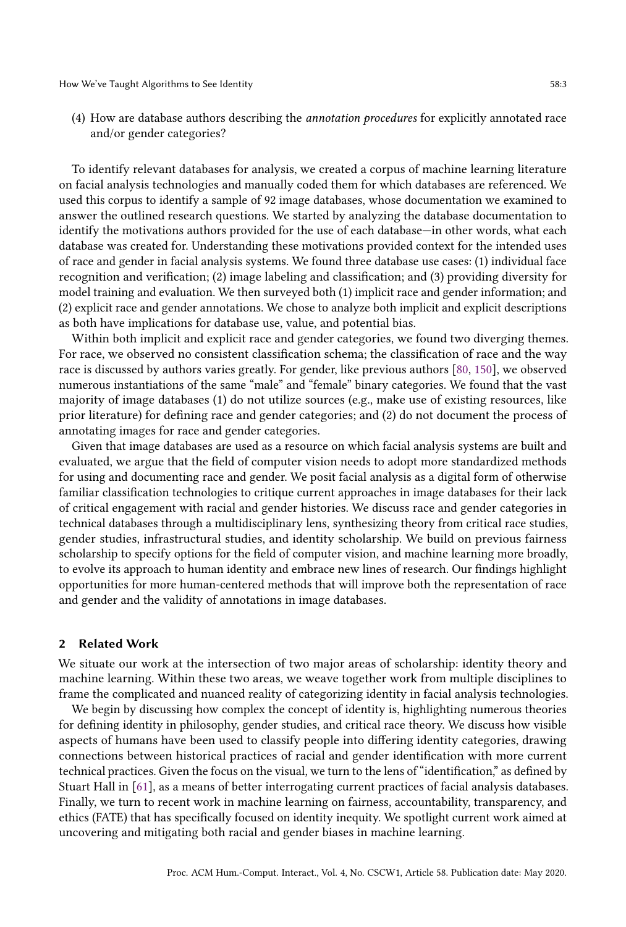(4) How are database authors describing the annotation procedures for explicitly annotated race and/or gender categories?

To identify relevant databases for analysis, we created a corpus of machine learning literature on facial analysis technologies and manually coded them for which databases are referenced. We used this corpus to identify a sample of 92 image databases, whose documentation we examined to answer the outlined research questions. We started by analyzing the database documentation to identify the motivations authors provided for the use of each database—in other words, what each database was created for. Understanding these motivations provided context for the intended uses of race and gender in facial analysis systems. We found three database use cases: (1) individual face recognition and verification; (2) image labeling and classification; and (3) providing diversity for model training and evaluation. We then surveyed both (1) implicit race and gender information; and (2) explicit race and gender annotations. We chose to analyze both implicit and explicit descriptions as both have implications for database use, value, and potential bias.

Within both implicit and explicit race and gender categories, we found two diverging themes. For race, we observed no consistent classification schema; the classification of race and the way race is discussed by authors varies greatly. For gender, like previous authors [\[80,](#page-30-0) [150\]](#page-33-2), we observed numerous instantiations of the same "male" and "female" binary categories. We found that the vast majority of image databases (1) do not utilize sources (e.g., make use of existing resources, like prior literature) for defining race and gender categories; and (2) do not document the process of annotating images for race and gender categories.

Given that image databases are used as a resource on which facial analysis systems are built and evaluated, we argue that the field of computer vision needs to adopt more standardized methods for using and documenting race and gender. We posit facial analysis as a digital form of otherwise familiar classification technologies to critique current approaches in image databases for their lack of critical engagement with racial and gender histories. We discuss race and gender categories in technical databases through a multidisciplinary lens, synthesizing theory from critical race studies, gender studies, infrastructural studies, and identity scholarship. We build on previous fairness scholarship to specify options for the field of computer vision, and machine learning more broadly, to evolve its approach to human identity and embrace new lines of research. Our findings highlight opportunities for more human-centered methods that will improve both the representation of race and gender and the validity of annotations in image databases.

#### 2 Related Work

We situate our work at the intersection of two major areas of scholarship: identity theory and machine learning. Within these two areas, we weave together work from multiple disciplines to frame the complicated and nuanced reality of categorizing identity in facial analysis technologies.

We begin by discussing how complex the concept of identity is, highlighting numerous theories for defining identity in philosophy, gender studies, and critical race theory. We discuss how visible aspects of humans have been used to classify people into differing identity categories, drawing connections between historical practices of racial and gender identification with more current technical practices. Given the focus on the visual, we turn to the lens of "identification," as defined by Stuart Hall in [\[61\]](#page-29-5), as a means of better interrogating current practices of facial analysis databases. Finally, we turn to recent work in machine learning on fairness, accountability, transparency, and ethics (FATE) that has specifically focused on identity inequity. We spotlight current work aimed at uncovering and mitigating both racial and gender biases in machine learning.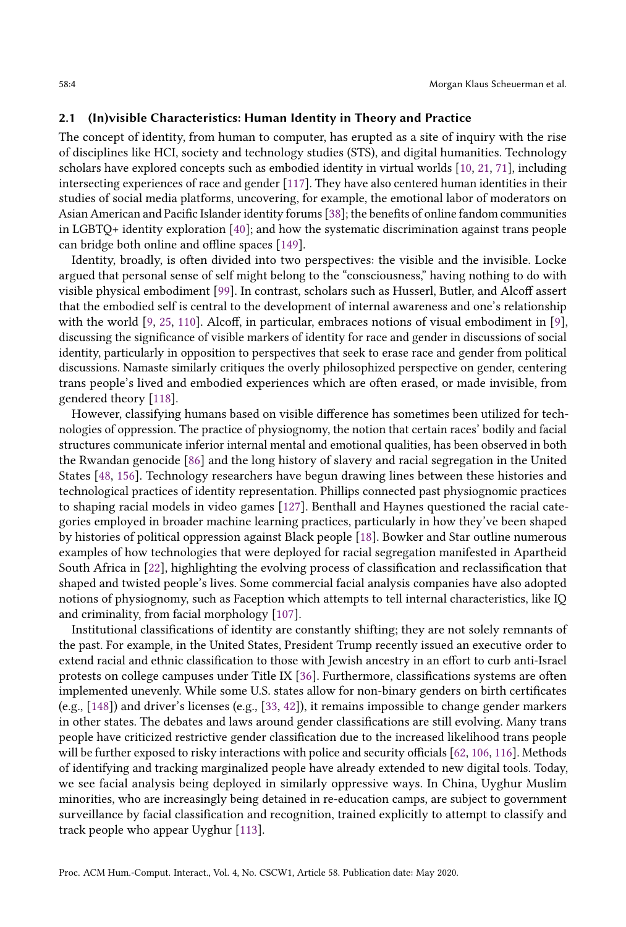#### 2.1 (In)visible Characteristics: Human Identity in Theory and Practice

The concept of identity, from human to computer, has erupted as a site of inquiry with the rise of disciplines like HCI, society and technology studies (STS), and digital humanities. Technology scholars have explored concepts such as embodied identity in virtual worlds [\[10,](#page-27-6) [21,](#page-27-7) [71\]](#page-29-6), including intersecting experiences of race and gender [\[117\]](#page-31-4). They have also centered human identities in their studies of social media platforms, uncovering, for example, the emotional labor of moderators on Asian American and Pacific Islander identity forums [\[38\]](#page-28-1); the benefits of online fandom communities in LGBTQ+ identity exploration [\[40\]](#page-28-2); and how the systematic discrimination against trans people can bridge both online and offline spaces [\[149\]](#page-33-5).

Identity, broadly, is often divided into two perspectives: the visible and the invisible. Locke argued that personal sense of self might belong to the "consciousness," having nothing to do with visible physical embodiment [\[99\]](#page-31-5). In contrast, scholars such as Husserl, Butler, and Alcoff assert that the embodied self is central to the development of internal awareness and one's relationship with the world [\[9,](#page-27-8) [25,](#page-27-9) [110\]](#page-31-6). Alcoff, in particular, embraces notions of visual embodiment in [\[9\]](#page-27-8), discussing the significance of visible markers of identity for race and gender in discussions of social identity, particularly in opposition to perspectives that seek to erase race and gender from political discussions. Namaste similarly critiques the overly philosophized perspective on gender, centering trans people's lived and embodied experiences which are often erased, or made invisible, from gendered theory [\[118\]](#page-31-7).

However, classifying humans based on visible difference has sometimes been utilized for technologies of oppression. The practice of physiognomy, the notion that certain races' bodily and facial structures communicate inferior internal mental and emotional qualities, has been observed in both the Rwandan genocide [\[86\]](#page-30-4) and the long history of slavery and racial segregation in the United States [\[48,](#page-28-3) [156\]](#page-33-6). Technology researchers have begun drawing lines between these histories and technological practices of identity representation. Phillips connected past physiognomic practices to shaping racial models in video games [\[127\]](#page-32-3). Benthall and Haynes questioned the racial categories employed in broader machine learning practices, particularly in how they've been shaped by histories of political oppression against Black people [\[18\]](#page-27-5). Bowker and Star outline numerous examples of how technologies that were deployed for racial segregation manifested in Apartheid South Africa in [\[22\]](#page-27-10), highlighting the evolving process of classification and reclassification that shaped and twisted people's lives. Some commercial facial analysis companies have also adopted notions of physiognomy, such as Faception which attempts to tell internal characteristics, like IQ and criminality, from facial morphology [\[107\]](#page-31-8).

Institutional classifications of identity are constantly shifting; they are not solely remnants of the past. For example, in the United States, President Trump recently issued an executive order to extend racial and ethnic classification to those with Jewish ancestry in an effort to curb anti-Israel protests on college campuses under Title IX [\[36\]](#page-28-4). Furthermore, classifications systems are often implemented unevenly. While some U.S. states allow for non-binary genders on birth certificates (e.g., [\[148\]](#page-33-7)) and driver's licenses (e.g., [\[33,](#page-28-5) [42\]](#page-28-6)), it remains impossible to change gender markers in other states. The debates and laws around gender classifications are still evolving. Many trans people have criticized restrictive gender classification due to the increased likelihood trans people will be further exposed to risky interactions with police and security officials [\[62,](#page-29-7) [106,](#page-31-9) [116\]](#page-31-10). Methods of identifying and tracking marginalized people have already extended to new digital tools. Today, we see facial analysis being deployed in similarly oppressive ways. In China, Uyghur Muslim minorities, who are increasingly being detained in re-education camps, are subject to government surveillance by facial classification and recognition, trained explicitly to attempt to classify and track people who appear Uyghur [\[113\]](#page-31-11).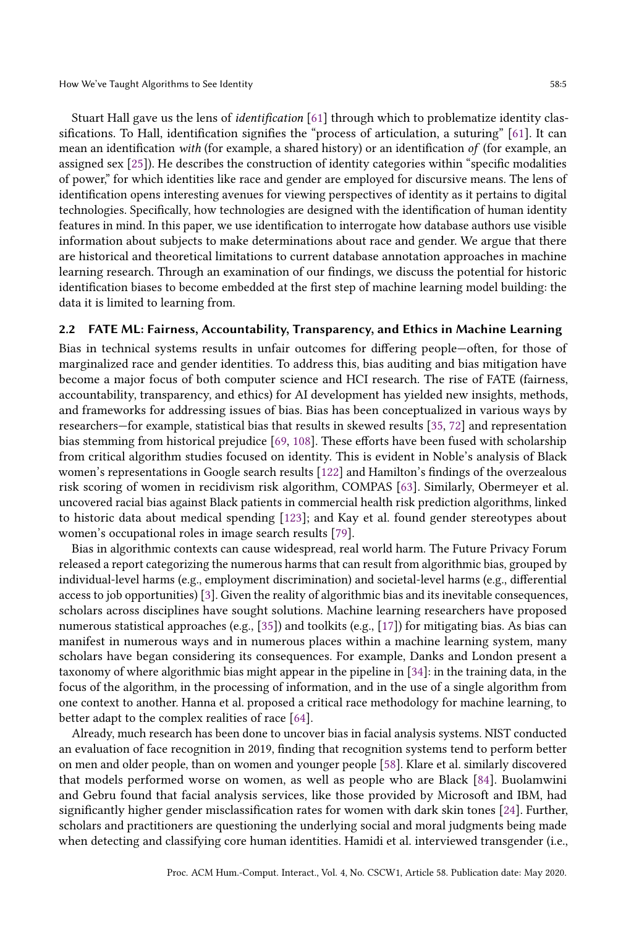Stuart Hall gave us the lens of identification [\[61\]](#page-29-5) through which to problematize identity classifications. To Hall, identification signifies the "process of articulation, a suturing" [\[61\]](#page-29-5). It can mean an identification with (for example, a shared history) or an identification of (for example, an assigned sex [\[25\]](#page-27-9)). He describes the construction of identity categories within "specific modalities of power," for which identities like race and gender are employed for discursive means. The lens of identification opens interesting avenues for viewing perspectives of identity as it pertains to digital technologies. Specifically, how technologies are designed with the identification of human identity features in mind. In this paper, we use identification to interrogate how database authors use visible information about subjects to make determinations about race and gender. We argue that there are historical and theoretical limitations to current database annotation approaches in machine learning research. Through an examination of our findings, we discuss the potential for historic identification biases to become embedded at the first step of machine learning model building: the data it is limited to learning from.

#### 2.2 FATE ML: Fairness, Accountability, Transparency, and Ethics in Machine Learning

Bias in technical systems results in unfair outcomes for differing people—often, for those of marginalized race and gender identities. To address this, bias auditing and bias mitigation have become a major focus of both computer science and HCI research. The rise of FATE (fairness, accountability, transparency, and ethics) for AI development has yielded new insights, methods, and frameworks for addressing issues of bias. Bias has been conceptualized in various ways by researchers—for example, statistical bias that results in skewed results [\[35,](#page-28-7) [72\]](#page-29-8) and representation bias stemming from historical prejudice [\[69,](#page-29-9) [108\]](#page-31-2). These efforts have been fused with scholarship from critical algorithm studies focused on identity. This is evident in Noble's analysis of Black women's representations in Google search results [\[122\]](#page-32-4) and Hamilton's findings of the overzealous risk scoring of women in recidivism risk algorithm, COMPAS [\[63\]](#page-29-10). Similarly, Obermeyer et al. uncovered racial bias against Black patients in commercial health risk prediction algorithms, linked to historic data about medical spending [\[123\]](#page-32-5); and Kay et al. found gender stereotypes about women's occupational roles in image search results [\[79\]](#page-30-5).

Bias in algorithmic contexts can cause widespread, real world harm. The Future Privacy Forum released a report categorizing the numerous harms that can result from algorithmic bias, grouped by individual-level harms (e.g., employment discrimination) and societal-level harms (e.g., differential access to job opportunities) [\[3\]](#page-26-1). Given the reality of algorithmic bias and its inevitable consequences, scholars across disciplines have sought solutions. Machine learning researchers have proposed numerous statistical approaches (e.g., [\[35\]](#page-28-7)) and toolkits (e.g., [\[17\]](#page-27-11)) for mitigating bias. As bias can manifest in numerous ways and in numerous places within a machine learning system, many scholars have began considering its consequences. For example, Danks and London present a taxonomy of where algorithmic bias might appear in the pipeline in [\[34\]](#page-28-0): in the training data, in the focus of the algorithm, in the processing of information, and in the use of a single algorithm from one context to another. Hanna et al. proposed a critical race methodology for machine learning, to better adapt to the complex realities of race [\[64\]](#page-29-11).

Already, much research has been done to uncover bias in facial analysis systems. NIST conducted an evaluation of face recognition in 2019, finding that recognition systems tend to perform better on men and older people, than on women and younger people [\[58\]](#page-29-2). Klare et al. similarly discovered that models performed worse on women, as well as people who are Black [\[84\]](#page-30-1). Buolamwini and Gebru found that facial analysis services, like those provided by Microsoft and IBM, had significantly higher gender misclassification rates for women with dark skin tones [\[24\]](#page-27-3). Further, scholars and practitioners are questioning the underlying social and moral judgments being made when detecting and classifying core human identities. Hamidi et al. interviewed transgender (i.e.,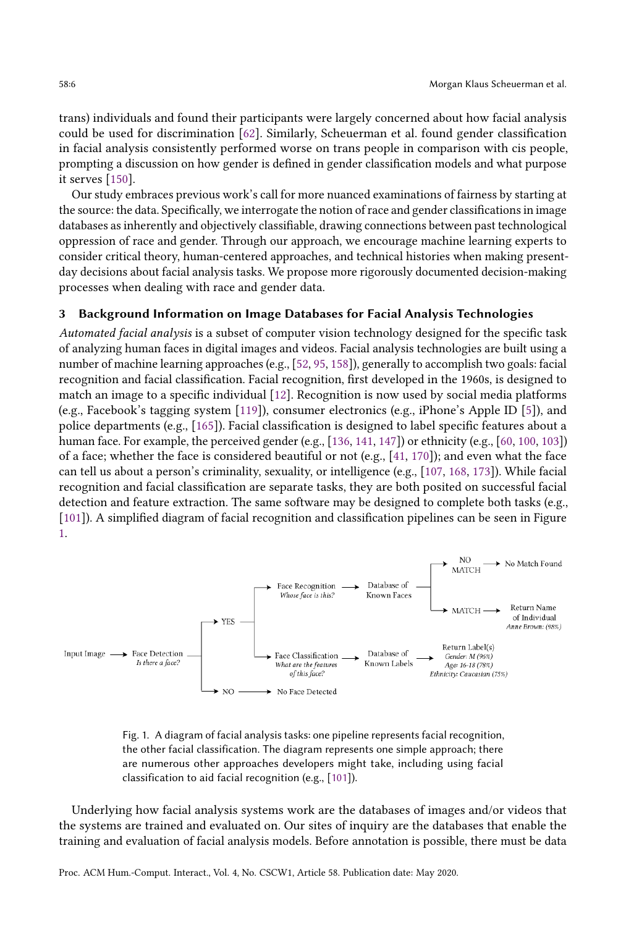trans) individuals and found their participants were largely concerned about how facial analysis could be used for discrimination [\[62\]](#page-29-7). Similarly, Scheuerman et al. found gender classification in facial analysis consistently performed worse on trans people in comparison with cis people, prompting a discussion on how gender is defined in gender classification models and what purpose it serves [\[150\]](#page-33-2).

Our study embraces previous work's call for more nuanced examinations of fairness by starting at the source: the data. Specifically, we interrogate the notion of race and gender classifications in image databases as inherently and objectively classifiable, drawing connections between past technological oppression of race and gender. Through our approach, we encourage machine learning experts to consider critical theory, human-centered approaches, and technical histories when making presentday decisions about facial analysis tasks. We propose more rigorously documented decision-making processes when dealing with race and gender data.

#### 3 Background Information on Image Databases for Facial Analysis Technologies

Automated facial analysis is a subset of computer vision technology designed for the specific task of analyzing human faces in digital images and videos. Facial analysis technologies are built using a number of machine learning approaches (e.g., [\[52,](#page-29-12) [95,](#page-30-6) [158\]](#page-33-8)), generally to accomplish two goals: facial recognition and facial classification. Facial recognition, first developed in the 1960s, is designed to match an image to a specific individual [\[12\]](#page-27-12). Recognition is now used by social media platforms (e.g., Facebook's tagging system [\[119\]](#page-31-0)), consumer electronics (e.g., iPhone's Apple ID [\[5\]](#page-27-1)), and police departments (e.g., [\[165\]](#page-34-1)). Facial classification is designed to label specific features about a human face. For example, the perceived gender (e.g., [\[136,](#page-32-6) [141,](#page-32-7) [147\]](#page-33-9)) or ethnicity (e.g., [\[60,](#page-29-13) [100,](#page-31-12) [103\]](#page-31-13)) of a face; whether the face is considered beautiful or not (e.g., [\[41,](#page-28-8) [170\]](#page-34-4)); and even what the face can tell us about a person's criminality, sexuality, or intelligence (e.g., [\[107,](#page-31-8) [168,](#page-34-5) [173\]](#page-34-6)). While facial recognition and facial classification are separate tasks, they are both posited on successful facial detection and feature extraction. The same software may be designed to complete both tasks (e.g., [\[101\]](#page-31-14)). A simplified diagram of facial recognition and classification pipelines can be seen in Figure [1.](#page-5-0)

<span id="page-5-0"></span>

Fig. 1. A diagram of facial analysis tasks: one pipeline represents facial recognition, the other facial classification. The diagram represents one simple approach; there are numerous other approaches developers might take, including using facial classification to aid facial recognition (e.g., [\[101\]](#page-31-14)).

Underlying how facial analysis systems work are the databases of images and/or videos that the systems are trained and evaluated on. Our sites of inquiry are the databases that enable the training and evaluation of facial analysis models. Before annotation is possible, there must be data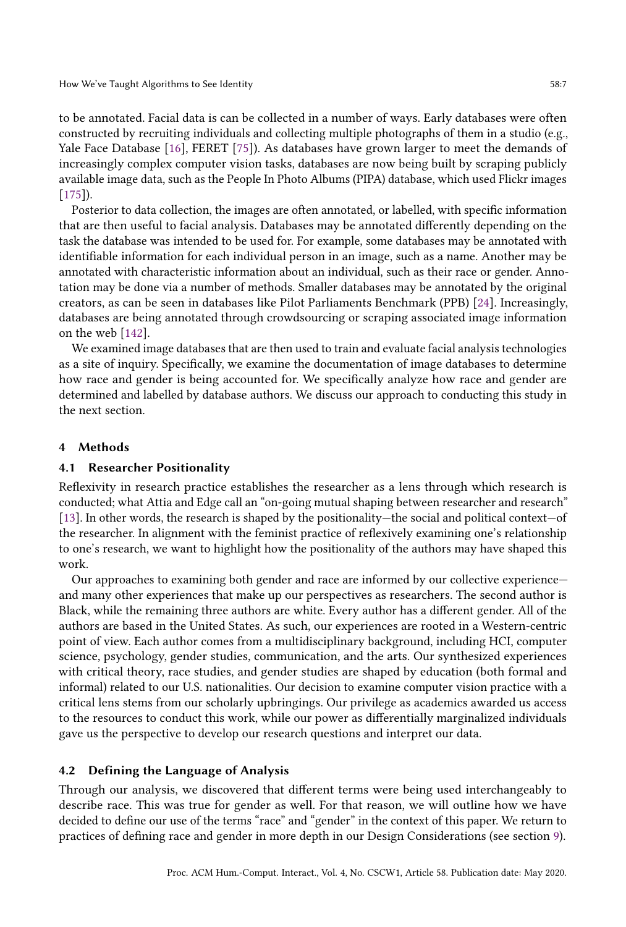to be annotated. Facial data is can be collected in a number of ways. Early databases were often constructed by recruiting individuals and collecting multiple photographs of them in a studio (e.g., Yale Face Database [\[16\]](#page-27-13), FERET [\[75\]](#page-30-7)). As databases have grown larger to meet the demands of increasingly complex computer vision tasks, databases are now being built by scraping publicly available image data, such as the People In Photo Albums (PIPA) database, which used Flickr images [\[175\]](#page-34-7)).

Posterior to data collection, the images are often annotated, or labelled, with specific information that are then useful to facial analysis. Databases may be annotated differently depending on the task the database was intended to be used for. For example, some databases may be annotated with identifiable information for each individual person in an image, such as a name. Another may be annotated with characteristic information about an individual, such as their race or gender. Annotation may be done via a number of methods. Smaller databases may be annotated by the original creators, as can be seen in databases like Pilot Parliaments Benchmark (PPB) [\[24\]](#page-27-3). Increasingly, databases are being annotated through crowdsourcing or scraping associated image information on the web [\[142\]](#page-32-8).

We examined image databases that are then used to train and evaluate facial analysis technologies as a site of inquiry. Specifically, we examine the documentation of image databases to determine how race and gender is being accounted for. We specifically analyze how race and gender are determined and labelled by database authors. We discuss our approach to conducting this study in the next section.

#### 4 Methods

## 4.1 Researcher Positionality

Reflexivity in research practice establishes the researcher as a lens through which research is conducted; what Attia and Edge call an "on-going mutual shaping between researcher and research" [\[13\]](#page-27-14). In other words, the research is shaped by the positionality—the social and political context—of the researcher. In alignment with the feminist practice of reflexively examining one's relationship to one's research, we want to highlight how the positionality of the authors may have shaped this work.

Our approaches to examining both gender and race are informed by our collective experience and many other experiences that make up our perspectives as researchers. The second author is Black, while the remaining three authors are white. Every author has a different gender. All of the authors are based in the United States. As such, our experiences are rooted in a Western-centric point of view. Each author comes from a multidisciplinary background, including HCI, computer science, psychology, gender studies, communication, and the arts. Our synthesized experiences with critical theory, race studies, and gender studies are shaped by education (both formal and informal) related to our U.S. nationalities. Our decision to examine computer vision practice with a critical lens stems from our scholarly upbringings. Our privilege as academics awarded us access to the resources to conduct this work, while our power as differentially marginalized individuals gave us the perspective to develop our research questions and interpret our data.

## 4.2 Defining the Language of Analysis

Through our analysis, we discovered that different terms were being used interchangeably to describe race. This was true for gender as well. For that reason, we will outline how we have decided to define our use of the terms "race" and "gender" in the context of this paper. We return to practices of defining race and gender in more depth in our Design Considerations (see section [9\)](#page-22-0).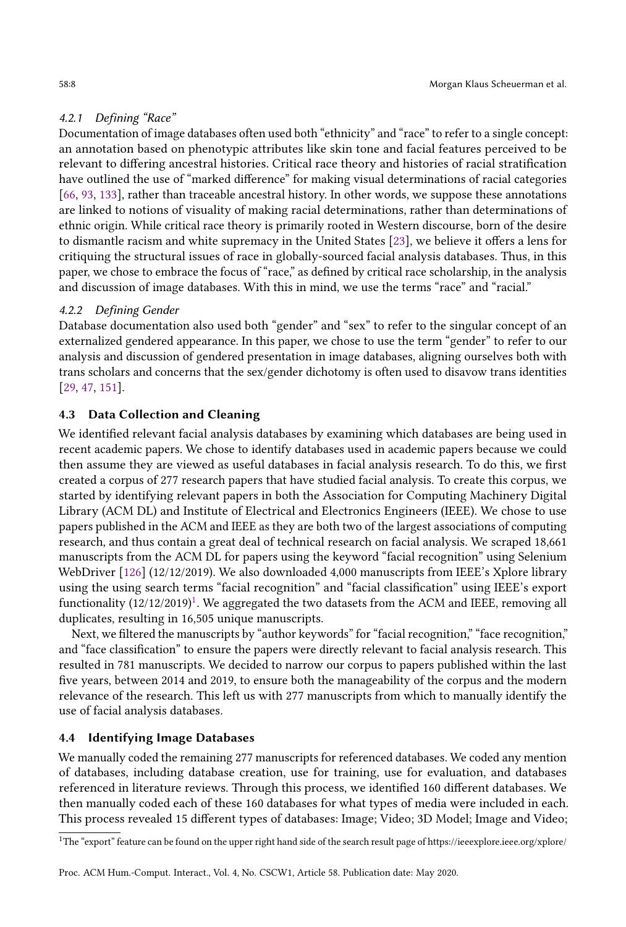# 4.2.1 Defining "Race"

Documentation of image databases often used both "ethnicity" and "race" to refer to a single concept: an annotation based on phenotypic attributes like skin tone and facial features perceived to be relevant to differing ancestral histories. Critical race theory and histories of racial stratification have outlined the use of "marked difference" for making visual determinations of racial categories [\[66,](#page-29-14) [93,](#page-30-8) [133\]](#page-32-9), rather than traceable ancestral history. In other words, we suppose these annotations are linked to notions of visuality of making racial determinations, rather than determinations of ethnic origin. While critical race theory is primarily rooted in Western discourse, born of the desire to dismantle racism and white supremacy in the United States [\[23\]](#page-27-15), we believe it offers a lens for critiquing the structural issues of race in globally-sourced facial analysis databases. Thus, in this paper, we chose to embrace the focus of "race," as defined by critical race scholarship, in the analysis and discussion of image databases. With this in mind, we use the terms "race" and "racial."

## 4.2.2 Defining Gender

Database documentation also used both "gender" and "sex" to refer to the singular concept of an externalized gendered appearance. In this paper, we chose to use the term "gender" to refer to our analysis and discussion of gendered presentation in image databases, aligning ourselves both with trans scholars and concerns that the sex/gender dichotomy is often used to disavow trans identities [\[29,](#page-28-9) [47,](#page-28-10) [151\]](#page-33-10).

## 4.3 Data Collection and Cleaning

We identified relevant facial analysis databases by examining which databases are being used in recent academic papers. We chose to identify databases used in academic papers because we could then assume they are viewed as useful databases in facial analysis research. To do this, we first created a corpus of 277 research papers that have studied facial analysis. To create this corpus, we started by identifying relevant papers in both the Association for Computing Machinery Digital Library (ACM DL) and Institute of Electrical and Electronics Engineers (IEEE). We chose to use papers published in the ACM and IEEE as they are both two of the largest associations of computing research, and thus contain a great deal of technical research on facial analysis. We scraped 18,661 manuscripts from the ACM DL for papers using the keyword "facial recognition" using Selenium WebDriver [\[126\]](#page-32-10) (12/12/2019). We also downloaded 4,000 manuscripts from IEEE's Xplore library using the using search terms "facial recognition" and "facial classification" using IEEE's export functionality  $(12/12/2019)^1$  $(12/12/2019)^1$  $(12/12/2019)^1$ . We aggregated the two datasets from the ACM and IEEE, removing all duplicates, resulting in 16,505 unique manuscripts.

Next, we filtered the manuscripts by "author keywords" for "facial recognition," "face recognition," and "face classification" to ensure the papers were directly relevant to facial analysis research. This resulted in 781 manuscripts. We decided to narrow our corpus to papers published within the last five years, between 2014 and 2019, to ensure both the manageability of the corpus and the modern relevance of the research. This left us with 277 manuscripts from which to manually identify the use of facial analysis databases.

## 4.4 Identifying Image Databases

We manually coded the remaining 277 manuscripts for referenced databases. We coded any mention of databases, including database creation, use for training, use for evaluation, and databases referenced in literature reviews. Through this process, we identified 160 different databases. We then manually coded each of these 160 databases for what types of media were included in each. This process revealed 15 different types of databases: Image; Video; 3D Model; Image and Video;

<span id="page-7-0"></span><sup>&</sup>lt;sup>1</sup>The "export" feature can be found on the upper right hand side of the search result page of https://ieeexplore.ieee.org/xplore/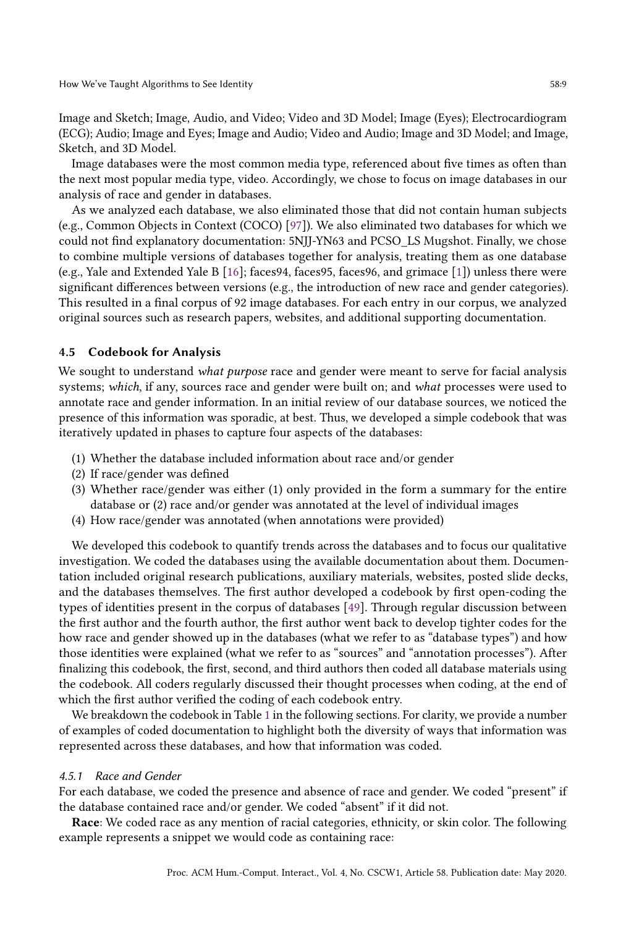Image and Sketch; Image, Audio, and Video; Video and 3D Model; Image (Eyes); Electrocardiogram (ECG); Audio; Image and Eyes; Image and Audio; Video and Audio; Image and 3D Model; and Image, Sketch, and 3D Model.

Image databases were the most common media type, referenced about five times as often than the next most popular media type, video. Accordingly, we chose to focus on image databases in our analysis of race and gender in databases.

As we analyzed each database, we also eliminated those that did not contain human subjects (e.g., Common Objects in Context (COCO) [\[97\]](#page-31-15)). We also eliminated two databases for which we could not find explanatory documentation: 5NJJ-YN63 and PCSO\_LS Mugshot. Finally, we chose to combine multiple versions of databases together for analysis, treating them as one database (e.g., Yale and Extended Yale B [\[16\]](#page-27-13); faces94, faces95, faces96, and grimace [\[1\]](#page-26-2)) unless there were significant differences between versions (e.g., the introduction of new race and gender categories). This resulted in a final corpus of 92 image databases. For each entry in our corpus, we analyzed original sources such as research papers, websites, and additional supporting documentation.

#### 4.5 Codebook for Analysis

We sought to understand what purpose race and gender were meant to serve for facial analysis systems; which, if any, sources race and gender were built on; and what processes were used to annotate race and gender information. In an initial review of our database sources, we noticed the presence of this information was sporadic, at best. Thus, we developed a simple codebook that was iteratively updated in phases to capture four aspects of the databases:

- (1) Whether the database included information about race and/or gender
- (2) If race/gender was defined
- (3) Whether race/gender was either (1) only provided in the form a summary for the entire database or (2) race and/or gender was annotated at the level of individual images
- (4) How race/gender was annotated (when annotations were provided)

We developed this codebook to quantify trends across the databases and to focus our qualitative investigation. We coded the databases using the available documentation about them. Documentation included original research publications, auxiliary materials, websites, posted slide decks, and the databases themselves. The first author developed a codebook by first open-coding the types of identities present in the corpus of databases [\[49\]](#page-28-11). Through regular discussion between the first author and the fourth author, the first author went back to develop tighter codes for the how race and gender showed up in the databases (what we refer to as "database types") and how those identities were explained (what we refer to as "sources" and "annotation processes"). After finalizing this codebook, the first, second, and third authors then coded all database materials using the codebook. All coders regularly discussed their thought processes when coding, at the end of which the first author verified the coding of each codebook entry.

We breakdown the codebook in Table [1](#page-9-0) in the following sections. For clarity, we provide a number of examples of coded documentation to highlight both the diversity of ways that information was represented across these databases, and how that information was coded.

#### 4.5.1 Race and Gender

For each database, we coded the presence and absence of race and gender. We coded "present" if the database contained race and/or gender. We coded "absent" if it did not.

Race: We coded race as any mention of racial categories, ethnicity, or skin color. The following example represents a snippet we would code as containing race: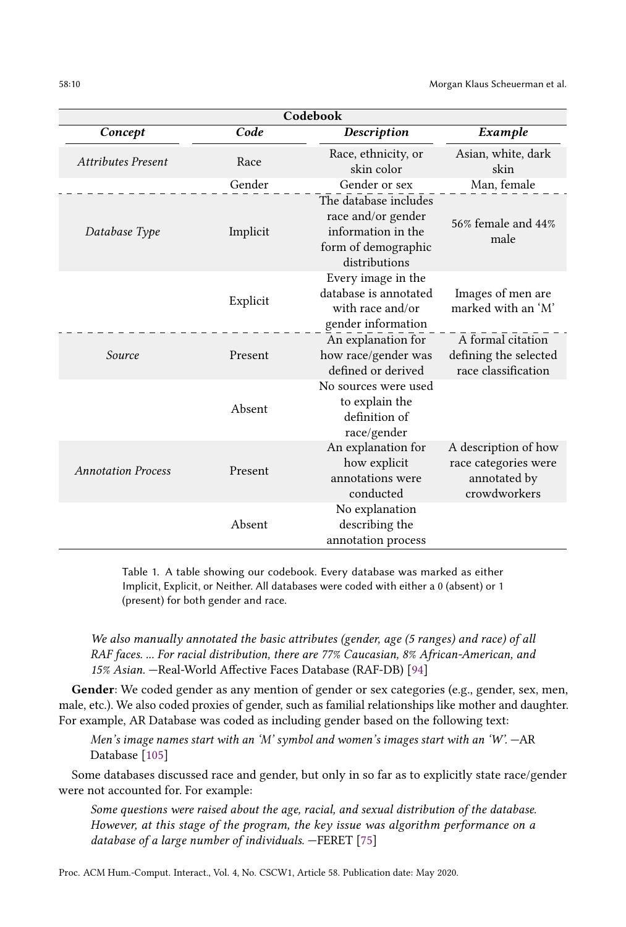<span id="page-9-0"></span>

| Codebook                  |          |                                                                                                           |                                                                              |  |  |  |
|---------------------------|----------|-----------------------------------------------------------------------------------------------------------|------------------------------------------------------------------------------|--|--|--|
| Concept                   | Code     | <b>Description</b>                                                                                        | Example                                                                      |  |  |  |
| Attributes Present        | Race     | Race, ethnicity, or<br>skin color                                                                         | Asian, white, dark<br>skin                                                   |  |  |  |
|                           | Gender   | Gender or sex                                                                                             | Man, female                                                                  |  |  |  |
| Database Type             | Implicit | The database includes<br>race and/or gender<br>information in the<br>form of demographic<br>distributions | 56% female and 44%<br>male                                                   |  |  |  |
|                           | Explicit | Every image in the<br>database is annotated<br>with race and/or<br>gender information                     | Images of men are<br>marked with an 'M'                                      |  |  |  |
| Source                    | Present  | An explanation for<br>how race/gender was<br>defined or derived                                           | A formal citation<br>defining the selected<br>race classification            |  |  |  |
|                           | Absent   | No sources were used<br>to explain the<br>definition of<br>race/gender                                    |                                                                              |  |  |  |
| <b>Annotation Process</b> | Present  | An explanation for<br>how explicit<br>annotations were<br>conducted                                       | A description of how<br>race categories were<br>annotated by<br>crowdworkers |  |  |  |
|                           | Absent   | No explanation<br>describing the<br>annotation process                                                    |                                                                              |  |  |  |

Table 1. A table showing our codebook. Every database was marked as either Implicit, Explicit, or Neither. All databases were coded with either a 0 (absent) or 1 (present) for both gender and race.

We also manually annotated the basic attributes (gender, age (5 ranges) and race) of all RAF faces. ... For racial distribution, there are 77% Caucasian, 8% African-American, and 15% Asian. —Real-World Affective Faces Database (RAF-DB) [\[94\]](#page-30-9)

Gender: We coded gender as any mention of gender or sex categories (e.g., gender, sex, men, male, etc.). We also coded proxies of gender, such as familial relationships like mother and daughter. For example, AR Database was coded as including gender based on the following text:

Men's image names start with an 'M' symbol and women's images start with an 'W'. —AR Database [\[105\]](#page-31-16)

Some databases discussed race and gender, but only in so far as to explicitly state race/gender were not accounted for. For example:

Some questions were raised about the age, racial, and sexual distribution of the database. However, at this stage of the program, the key issue was algorithm performance on a database of a large number of individuals. —FERET [\[75\]](#page-30-7)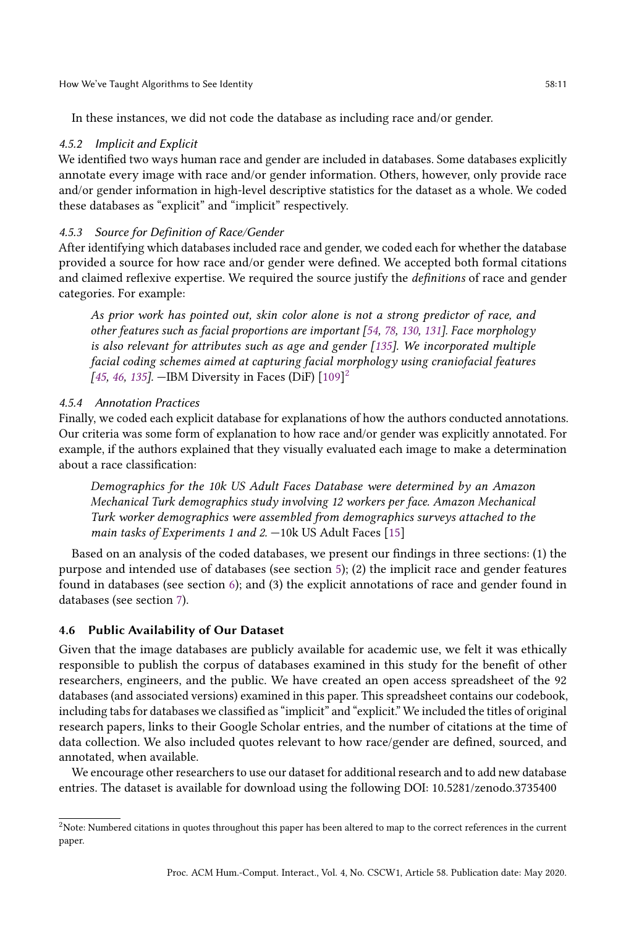In these instances, we did not code the database as including race and/or gender.

## 4.5.2 Implicit and Explicit

We identified two ways human race and gender are included in databases. Some databases explicitly annotate every image with race and/or gender information. Others, however, only provide race and/or gender information in high-level descriptive statistics for the dataset as a whole. We coded these databases as "explicit" and "implicit" respectively.

## 4.5.3 Source for Definition of Race/Gender

After identifying which databases included race and gender, we coded each for whether the database provided a source for how race and/or gender were defined. We accepted both formal citations and claimed reflexive expertise. We required the source justify the definitions of race and gender categories. For example:

As prior work has pointed out, skin color alone is not a strong predictor of race, and other features such as facial proportions are important [\[54,](#page-29-15) [78,](#page-30-10) [130,](#page-32-11) [131\]](#page-32-12). Face morphology is also relevant for attributes such as age and gender [\[135\]](#page-32-13). We incorporated multiple facial coding schemes aimed at capturing facial morphology using craniofacial features [\[45,](#page-28-12) [46,](#page-28-13) [135\]](#page-32-13). - IBM Diversity in Faces (DiF)  $[109]^{2}$  $[109]^{2}$  $[109]^{2}$  $[109]^{2}$ 

## 4.5.4 Annotation Practices

Finally, we coded each explicit database for explanations of how the authors conducted annotations. Our criteria was some form of explanation to how race and/or gender was explicitly annotated. For example, if the authors explained that they visually evaluated each image to make a determination about a race classification:

Demographics for the 10k US Adult Faces Database were determined by an Amazon Mechanical Turk demographics study involving 12 workers per face. Amazon Mechanical Turk worker demographics were assembled from demographics surveys attached to the main tasks of Experiments 1 and 2.  $-10k$  US Adult Faces [\[15\]](#page-27-16)

Based on an analysis of the coded databases, we present our findings in three sections: (1) the purpose and intended use of databases (see section [5\)](#page-10-1); (2) the implicit race and gender features found in databases (see section [6\)](#page-11-0); and (3) the explicit annotations of race and gender found in databases (see section [7\)](#page-14-0).

# 4.6 Public Availability of Our Dataset

Given that the image databases are publicly available for academic use, we felt it was ethically responsible to publish the corpus of databases examined in this study for the benefit of other researchers, engineers, and the public. We have created an open access spreadsheet of the 92 databases (and associated versions) examined in this paper. This spreadsheet contains our codebook, including tabs for databases we classified as "implicit" and "explicit." We included the titles of original research papers, links to their Google Scholar entries, and the number of citations at the time of data collection. We also included quotes relevant to how race/gender are defined, sourced, and annotated, when available.

We encourage other researchers to use our dataset for additional research and to add new database entries. The dataset is available for download using the following DOI: 10.5281/zenodo.3735400

<span id="page-10-1"></span><span id="page-10-0"></span><sup>2</sup>Note: Numbered citations in quotes throughout this paper has been altered to map to the correct references in the current paper.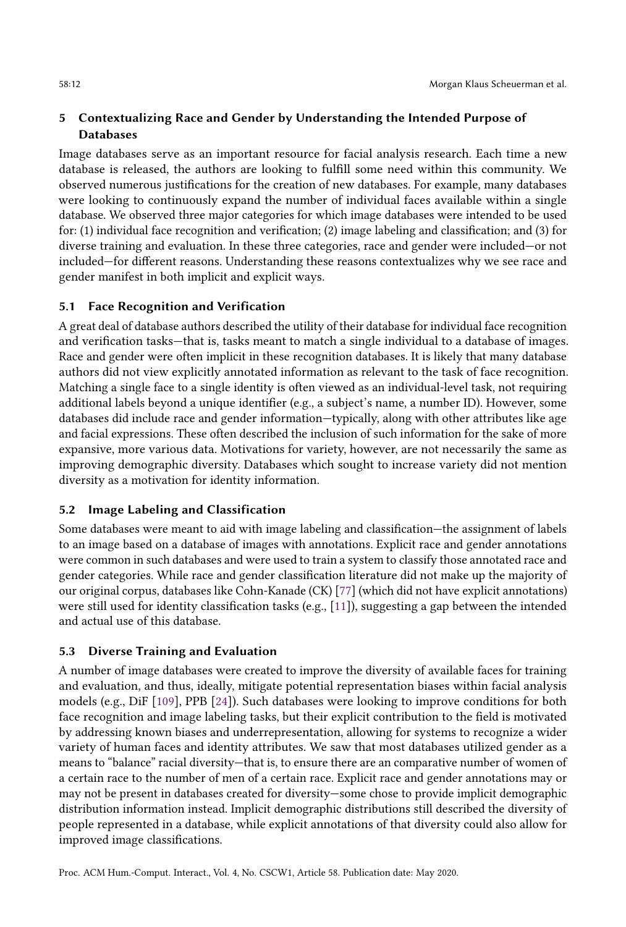# 5 Contextualizing Race and Gender by Understanding the Intended Purpose of **Databases**

Image databases serve as an important resource for facial analysis research. Each time a new database is released, the authors are looking to fulfill some need within this community. We observed numerous justifications for the creation of new databases. For example, many databases were looking to continuously expand the number of individual faces available within a single database. We observed three major categories for which image databases were intended to be used for: (1) individual face recognition and verification; (2) image labeling and classification; and (3) for diverse training and evaluation. In these three categories, race and gender were included—or not included—for different reasons. Understanding these reasons contextualizes why we see race and gender manifest in both implicit and explicit ways.

# 5.1 Face Recognition and Verification

A great deal of database authors described the utility of their database for individual face recognition and verification tasks—that is, tasks meant to match a single individual to a database of images. Race and gender were often implicit in these recognition databases. It is likely that many database authors did not view explicitly annotated information as relevant to the task of face recognition. Matching a single face to a single identity is often viewed as an individual-level task, not requiring additional labels beyond a unique identifier (e.g., a subject's name, a number ID). However, some databases did include race and gender information—typically, along with other attributes like age and facial expressions. These often described the inclusion of such information for the sake of more expansive, more various data. Motivations for variety, however, are not necessarily the same as improving demographic diversity. Databases which sought to increase variety did not mention diversity as a motivation for identity information.

# 5.2 Image Labeling and Classification

Some databases were meant to aid with image labeling and classification—the assignment of labels to an image based on a database of images with annotations. Explicit race and gender annotations were common in such databases and were used to train a system to classify those annotated race and gender categories. While race and gender classification literature did not make up the majority of our original corpus, databases like Cohn-Kanade (CK) [\[77\]](#page-30-11) (which did not have explicit annotations) were still used for identity classification tasks (e.g., [\[11\]](#page-27-17)), suggesting a gap between the intended and actual use of this database.

# 5.3 Diverse Training and Evaluation

<span id="page-11-0"></span>A number of image databases were created to improve the diversity of available faces for training and evaluation, and thus, ideally, mitigate potential representation biases within facial analysis models (e.g., DiF [\[109\]](#page-31-17), PPB [\[24\]](#page-27-3)). Such databases were looking to improve conditions for both face recognition and image labeling tasks, but their explicit contribution to the field is motivated by addressing known biases and underrepresentation, allowing for systems to recognize a wider variety of human faces and identity attributes. We saw that most databases utilized gender as a means to "balance" racial diversity—that is, to ensure there are an comparative number of women of a certain race to the number of men of a certain race. Explicit race and gender annotations may or may not be present in databases created for diversity—some chose to provide implicit demographic distribution information instead. Implicit demographic distributions still described the diversity of people represented in a database, while explicit annotations of that diversity could also allow for improved image classifications.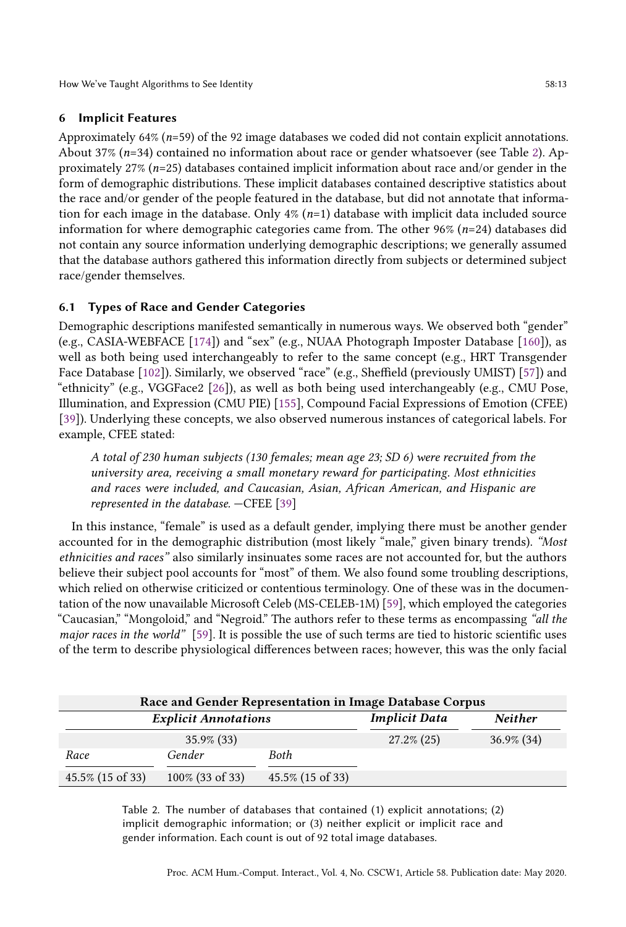How We've Taught Algorithms to See Identity 58:13

# 6 Implicit Features

Approximately 64% ( $n=59$ ) of the 92 image databases we coded did not contain explicit annotations. About 37% ( $n=34$ ) contained no information about race or gender whatsoever (see Table [2\)](#page-12-0). Approximately 27% ( $n=25$ ) databases contained implicit information about race and/or gender in the form of demographic distributions. These implicit databases contained descriptive statistics about the race and/or gender of the people featured in the database, but did not annotate that information for each image in the database. Only  $4\%$  ( $n=1$ ) database with implicit data included source information for where demographic categories came from. The other 96%  $(n=24)$  databases did not contain any source information underlying demographic descriptions; we generally assumed that the database authors gathered this information directly from subjects or determined subject race/gender themselves.

# 6.1 Types of Race and Gender Categories

Demographic descriptions manifested semantically in numerous ways. We observed both "gender" (e.g., CASIA-WEBFACE [\[174\]](#page-34-8)) and "sex" (e.g., NUAA Photograph Imposter Database [\[160\]](#page-33-11)), as well as both being used interchangeably to refer to the same concept (e.g., HRT Transgender Face Database [\[102\]](#page-31-18)). Similarly, we observed "race" (e.g., Sheffield (previously UMIST) [\[57\]](#page-29-16)) and "ethnicity" (e.g., VGGFace2 [\[26\]](#page-27-18)), as well as both being used interchangeably (e.g., CMU Pose, Illumination, and Expression (CMU PIE) [\[155\]](#page-33-12), Compound Facial Expressions of Emotion (CFEE) [\[39\]](#page-28-14)). Underlying these concepts, we also observed numerous instances of categorical labels. For example, CFEE stated:

A total of 230 human subjects (130 females; mean age 23; SD 6) were recruited from the university area, receiving a small monetary reward for participating. Most ethnicities and races were included, and Caucasian, Asian, African American, and Hispanic are represented in the database. —CFEE [\[39\]](#page-28-14)

In this instance, "female" is used as a default gender, implying there must be another gender accounted for in the demographic distribution (most likely "male," given binary trends). "Most ethnicities and races" also similarly insinuates some races are not accounted for, but the authors believe their subject pool accounts for "most" of them. We also found some troubling descriptions, which relied on otherwise criticized or contentious terminology. One of these was in the documentation of the now unavailable Microsoft Celeb (MS-CELEB-1M) [\[59\]](#page-29-17), which employed the categories "Caucasian," "Mongoloid," and "Negroid." The authors refer to these terms as encompassing "all the major races in the world" [\[59\]](#page-29-17). It is possible the use of such terms are tied to historic scientific uses of the term to describe physiological differences between races; however, this was the only facial

<span id="page-12-0"></span>

| Race and Gender Representation in Image Database Corpus |                    |                      |                |               |  |  |
|---------------------------------------------------------|--------------------|----------------------|----------------|---------------|--|--|
| <b>Explicit Annotations</b>                             |                    | <b>Implicit Data</b> | <b>Neither</b> |               |  |  |
|                                                         | $35.9\%$ (33)      |                      | $27.2\%$ (25)  | $36.9\%$ (34) |  |  |
| Race                                                    | Gender             | Both                 |                |               |  |  |
| 45.5% (15 of 33)                                        | $100\%$ (33 of 33) | 45.5% (15 of 33)     |                |               |  |  |

Table 2. The number of databases that contained (1) explicit annotations; (2) implicit demographic information; or (3) neither explicit or implicit race and gender information. Each count is out of 92 total image databases.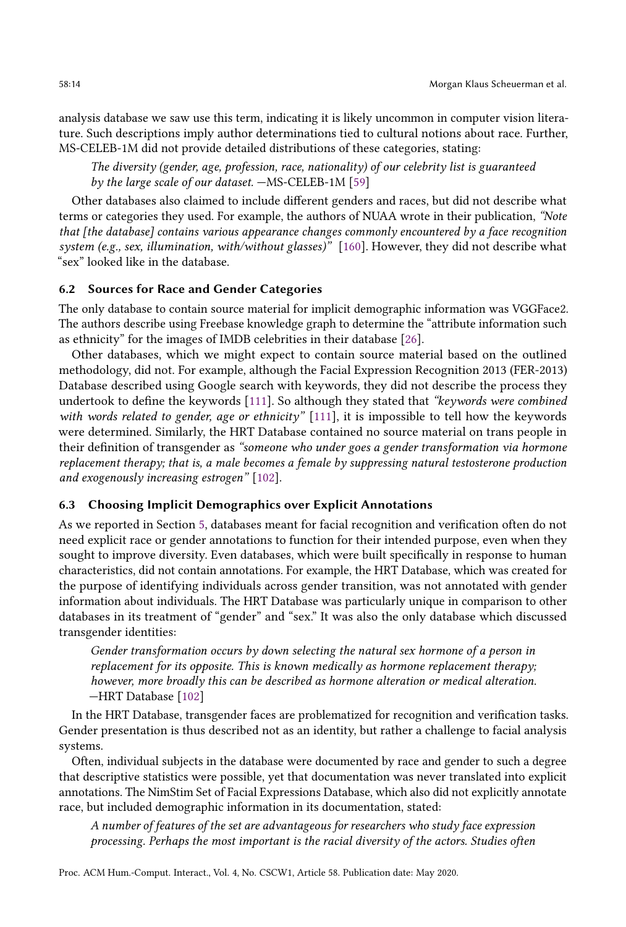analysis database we saw use this term, indicating it is likely uncommon in computer vision literature. Such descriptions imply author determinations tied to cultural notions about race. Further, MS-CELEB-1M did not provide detailed distributions of these categories, stating:

The diversity (gender, age, profession, race, nationality) of our celebrity list is guaranteed by the large scale of our dataset. —MS-CELEB-1M [\[59\]](#page-29-17)

Other databases also claimed to include different genders and races, but did not describe what terms or categories they used. For example, the authors of NUAA wrote in their publication, "Note that [the database] contains various appearance changes commonly encountered by a face recognition system (e.g., sex, illumination, with/without glasses)" [\[160\]](#page-33-11). However, they did not describe what "sex" looked like in the database.

## 6.2 Sources for Race and Gender Categories

The only database to contain source material for implicit demographic information was VGGFace2. The authors describe using Freebase knowledge graph to determine the "attribute information such as ethnicity" for the images of IMDB celebrities in their database [\[26\]](#page-27-18).

Other databases, which we might expect to contain source material based on the outlined methodology, did not. For example, although the Facial Expression Recognition 2013 (FER-2013) Database described using Google search with keywords, they did not describe the process they undertook to define the keywords [\[111\]](#page-31-19). So although they stated that "keywords were combined with words related to gender, age or ethnicity"  $[111]$ , it is impossible to tell how the keywords were determined. Similarly, the HRT Database contained no source material on trans people in their definition of transgender as "someone who under goes a gender transformation via hormone replacement therapy; that is, a male becomes a female by suppressing natural testosterone production and exogenously increasing estrogen" [\[102\]](#page-31-18).

## 6.3 Choosing Implicit Demographics over Explicit Annotations

As we reported in Section [5,](#page-10-1) databases meant for facial recognition and verification often do not need explicit race or gender annotations to function for their intended purpose, even when they sought to improve diversity. Even databases, which were built specifically in response to human characteristics, did not contain annotations. For example, the HRT Database, which was created for the purpose of identifying individuals across gender transition, was not annotated with gender information about individuals. The HRT Database was particularly unique in comparison to other databases in its treatment of "gender" and "sex." It was also the only database which discussed transgender identities:

Gender transformation occurs by down selecting the natural sex hormone of a person in replacement for its opposite. This is known medically as hormone replacement therapy; however, more broadly this can be described as hormone alteration or medical alteration. —HRT Database [\[102\]](#page-31-18)

In the HRT Database, transgender faces are problematized for recognition and verification tasks. Gender presentation is thus described not as an identity, but rather a challenge to facial analysis systems.

Often, individual subjects in the database were documented by race and gender to such a degree that descriptive statistics were possible, yet that documentation was never translated into explicit annotations. The NimStim Set of Facial Expressions Database, which also did not explicitly annotate race, but included demographic information in its documentation, stated:

A number of features of the set are advantageous for researchers who study face expression processing. Perhaps the most important is the racial diversity of the actors. Studies often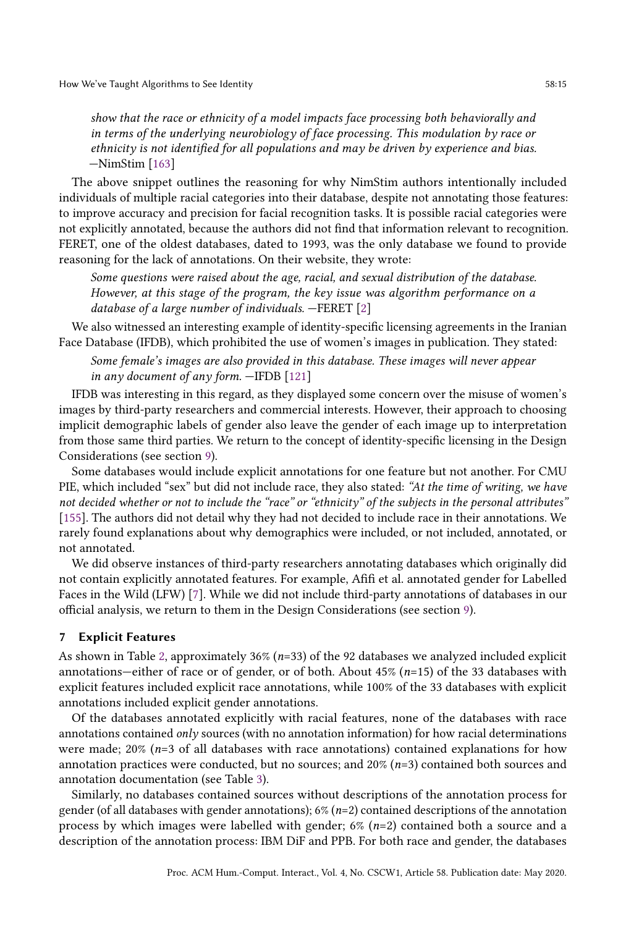show that the race or ethnicity of a model impacts face processing both behaviorally and in terms of the underlying neurobiology of face processing. This modulation by race or ethnicity is not identified for all populations and may be driven by experience and bias. —NimStim [\[163\]](#page-33-13)

The above snippet outlines the reasoning for why NimStim authors intentionally included individuals of multiple racial categories into their database, despite not annotating those features: to improve accuracy and precision for facial recognition tasks. It is possible racial categories were not explicitly annotated, because the authors did not find that information relevant to recognition. FERET, one of the oldest databases, dated to 1993, was the only database we found to provide reasoning for the lack of annotations. On their website, they wrote:

Some questions were raised about the age, racial, and sexual distribution of the database. However, at this stage of the program, the key issue was algorithm performance on a database of a large number of individuals. —FERET [\[2\]](#page-26-3)

We also witnessed an interesting example of identity-specific licensing agreements in the Iranian Face Database (IFDB), which prohibited the use of women's images in publication. They stated:

Some female's images are also provided in this database. These images will never appear in any document of any form. —IFDB [\[121\]](#page-32-14)

IFDB was interesting in this regard, as they displayed some concern over the misuse of women's images by third-party researchers and commercial interests. However, their approach to choosing implicit demographic labels of gender also leave the gender of each image up to interpretation from those same third parties. We return to the concept of identity-specific licensing in the Design Considerations (see section [9\)](#page-22-0).

Some databases would include explicit annotations for one feature but not another. For CMU PIE, which included "sex" but did not include race, they also stated: "At the time of writing, we have not decided whether or not to include the "race" or "ethnicity" of the subjects in the personal attributes" [\[155\]](#page-33-12). The authors did not detail why they had not decided to include race in their annotations. We rarely found explanations about why demographics were included, or not included, annotated, or not annotated.

We did observe instances of third-party researchers annotating databases which originally did not contain explicitly annotated features. For example, Afifi et al. annotated gender for Labelled Faces in the Wild (LFW) [\[7\]](#page-27-19). While we did not include third-party annotations of databases in our official analysis, we return to them in the Design Considerations (see section [9\)](#page-22-0).

## <span id="page-14-0"></span>7 Explicit Features

As shown in Table [2,](#page-12-0) approximately  $36\%$  ( $n=33$ ) of the 92 databases we analyzed included explicit annotations—either of race or of gender, or of both. About  $45\%$  (n=15) of the 33 databases with explicit features included explicit race annotations, while 100% of the 33 databases with explicit annotations included explicit gender annotations.

Of the databases annotated explicitly with racial features, none of the databases with race annotations contained only sources (with no annotation information) for how racial determinations were made;  $20\%$  ( $n=3$  of all databases with race annotations) contained explanations for how annotation practices were conducted, but no sources; and  $20\%$  ( $n=3$ ) contained both sources and annotation documentation (see Table [3\)](#page-16-0).

Similarly, no databases contained sources without descriptions of the annotation process for gender (of all databases with gender annotations);  $6\%$  ( $n=2$ ) contained descriptions of the annotation process by which images were labelled with gender;  $6\%$  ( $n=2$ ) contained both a source and a description of the annotation process: IBM DiF and PPB. For both race and gender, the databases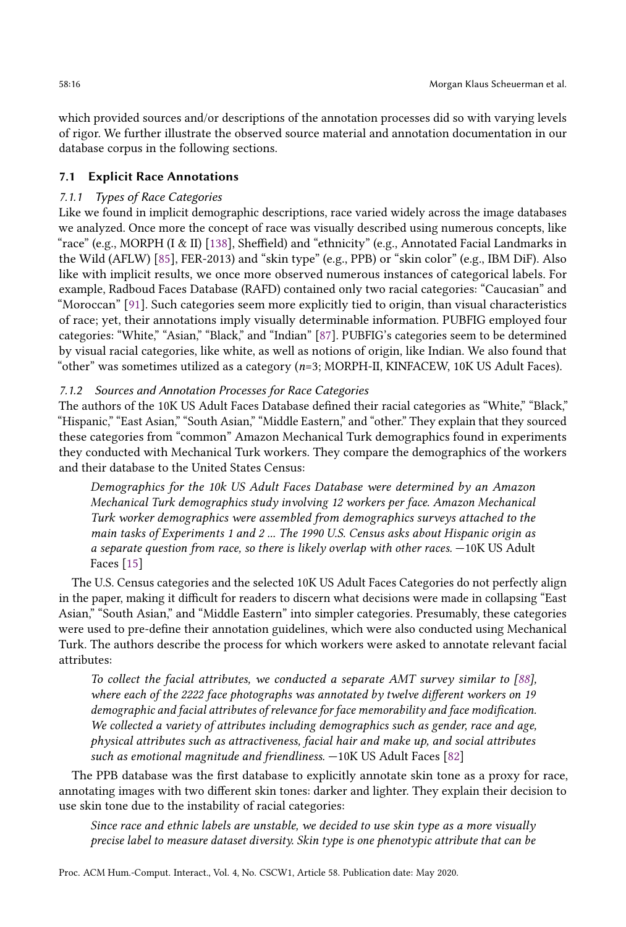which provided sources and/or descriptions of the annotation processes did so with varying levels of rigor. We further illustrate the observed source material and annotation documentation in our database corpus in the following sections.

## 7.1 Explicit Race Annotations

## 7.1.1 Types of Race Categories

Like we found in implicit demographic descriptions, race varied widely across the image databases we analyzed. Once more the concept of race was visually described using numerous concepts, like "race" (e.g., MORPH (I & II) [\[138\]](#page-32-15), Sheffield) and "ethnicity" (e.g., Annotated Facial Landmarks in the Wild (AFLW) [\[85\]](#page-30-12), FER-2013) and "skin type" (e.g., PPB) or "skin color" (e.g., IBM DiF). Also like with implicit results, we once more observed numerous instances of categorical labels. For example, Radboud Faces Database (RAFD) contained only two racial categories: "Caucasian" and "Moroccan" [\[91\]](#page-30-13). Such categories seem more explicitly tied to origin, than visual characteristics of race; yet, their annotations imply visually determinable information. PUBFIG employed four categories: "White," "Asian," "Black," and "Indian" [\[87\]](#page-30-14). PUBFIG's categories seem to be determined by visual racial categories, like white, as well as notions of origin, like Indian. We also found that "other" was sometimes utilized as a category (n=3; MORPH-II, KINFACEW, 10K US Adult Faces).

#### 7.1.2 Sources and Annotation Processes for Race Categories

The authors of the 10K US Adult Faces Database defined their racial categories as "White," "Black," "Hispanic," "East Asian," "South Asian," "Middle Eastern," and "other." They explain that they sourced these categories from "common" Amazon Mechanical Turk demographics found in experiments they conducted with Mechanical Turk workers. They compare the demographics of the workers and their database to the United States Census:

Demographics for the 10k US Adult Faces Database were determined by an Amazon Mechanical Turk demographics study involving 12 workers per face. Amazon Mechanical Turk worker demographics were assembled from demographics surveys attached to the main tasks of Experiments 1 and 2 ... The 1990 U.S. Census asks about Hispanic origin as a separate question from race, so there is likely overlap with other races. —10K US Adult Faces [\[15\]](#page-27-16)

The U.S. Census categories and the selected 10K US Adult Faces Categories do not perfectly align in the paper, making it difficult for readers to discern what decisions were made in collapsing "East Asian," "South Asian," and "Middle Eastern" into simpler categories. Presumably, these categories were used to pre-define their annotation guidelines, which were also conducted using Mechanical Turk. The authors describe the process for which workers were asked to annotate relevant facial attributes:

To collect the facial attributes, we conducted a separate AMT survey similar to [\[88\]](#page-30-15), where each of the 2222 face photographs was annotated by twelve different workers on 19 demographic and facial attributes of relevance for face memorability and face modification. We collected a variety of attributes including demographics such as gender, race and age, physical attributes such as attractiveness, facial hair and make up, and social attributes such as emotional magnitude and friendliness. —10K US Adult Faces [\[82\]](#page-30-16)

The PPB database was the first database to explicitly annotate skin tone as a proxy for race, annotating images with two different skin tones: darker and lighter. They explain their decision to use skin tone due to the instability of racial categories:

Since race and ethnic labels are unstable, we decided to use skin type as a more visually precise label to measure dataset diversity. Skin type is one phenotypic attribute that can be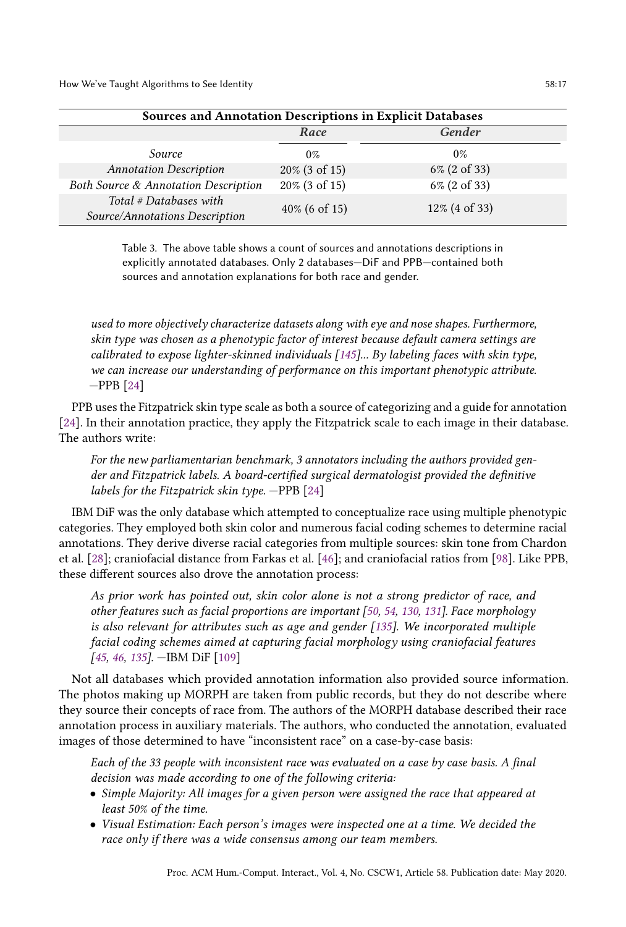<span id="page-16-0"></span>

| <b>Sources and Annotation Descriptions in Explicit Databases</b> |                  |               |  |  |  |
|------------------------------------------------------------------|------------------|---------------|--|--|--|
|                                                                  | Race             | <b>Gender</b> |  |  |  |
| Source                                                           | $0\%$            | $0\%$         |  |  |  |
| <b>Annotation Description</b>                                    | 20% (3 of 15)    | 6% (2 of 33)  |  |  |  |
| Both Source & Annotation Description                             | 20% (3 of 15)    | 6% (2 of 33)  |  |  |  |
| Total # Databases with<br>Source/Annotations Description         | $40\%$ (6 of 15) | 12% (4 of 33) |  |  |  |

Table 3. The above table shows a count of sources and annotations descriptions in explicitly annotated databases. Only 2 databases—DiF and PPB—contained both sources and annotation explanations for both race and gender.

used to more objectively characterize datasets along with eye and nose shapes. Furthermore, skin type was chosen as a phenotypic factor of interest because default camera settings are calibrated to expose lighter-skinned individuals [\[145\]](#page-33-14)... By labeling faces with skin type, we can increase our understanding of performance on this important phenotypic attribute. —PPB [\[24\]](#page-27-3)

PPB uses the Fitzpatrick skin type scale as both a source of categorizing and a guide for annotation [\[24\]](#page-27-3). In their annotation practice, they apply the Fitzpatrick scale to each image in their database. The authors write:

For the new parliamentarian benchmark, 3 annotators including the authors provided gender and Fitzpatrick labels. A board-certified surgical dermatologist provided the definitive labels for the Fitzpatrick skin type.  $-\text{PPB}$  [\[24\]](#page-27-3)

IBM DiF was the only database which attempted to conceptualize race using multiple phenotypic categories. They employed both skin color and numerous facial coding schemes to determine racial annotations. They derive diverse racial categories from multiple sources: skin tone from Chardon et al. [\[28\]](#page-27-20); craniofacial distance from Farkas et al. [\[46\]](#page-28-13); and craniofacial ratios from [\[98\]](#page-31-20). Like PPB, these different sources also drove the annotation process:

As prior work has pointed out, skin color alone is not a strong predictor of race, and other features such as facial proportions are important [\[50,](#page-28-15) [54,](#page-29-15) [130,](#page-32-11) [131\]](#page-32-12). Face morphology is also relevant for attributes such as age and gender [\[135\]](#page-32-13). We incorporated multiple facial coding schemes aimed at capturing facial morphology using craniofacial features [\[45,](#page-28-12) [46,](#page-28-13) [135\]](#page-32-13). —IBM DiF [\[109\]](#page-31-17)

Not all databases which provided annotation information also provided source information. The photos making up MORPH are taken from public records, but they do not describe where they source their concepts of race from. The authors of the MORPH database described their race annotation process in auxiliary materials. The authors, who conducted the annotation, evaluated images of those determined to have "inconsistent race" on a case-by-case basis:

Each of the 33 people with inconsistent race was evaluated on a case by case basis. A final decision was made according to one of the following criteria:

- Simple Majority: All images for a given person were assigned the race that appeared at least 50% of the time.
- Visual Estimation: Each person's images were inspected one at a time. We decided the race only if there was a wide consensus among our team members.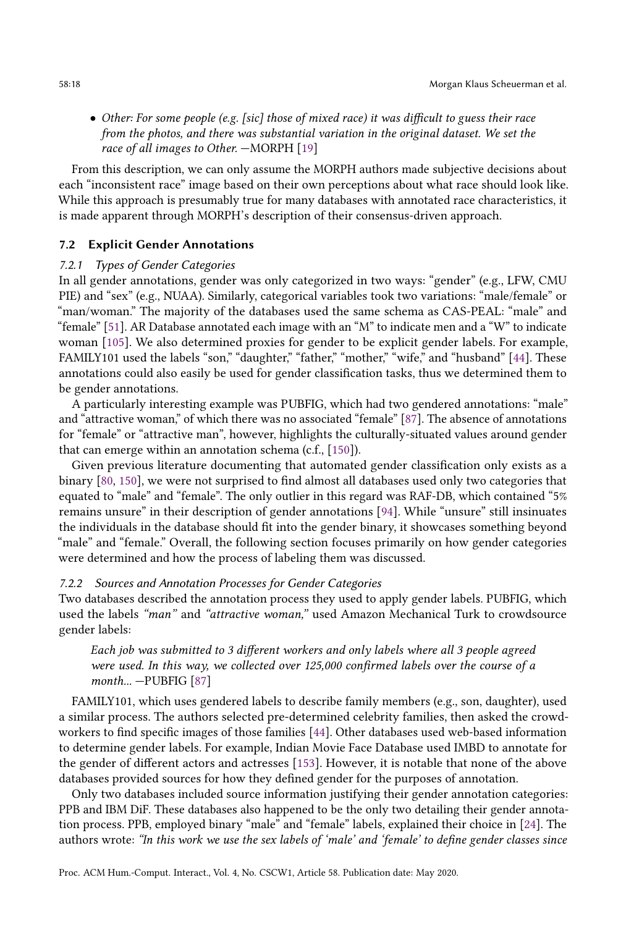• Other: For some people (e.g. [sic] those of mixed race) it was difficult to guess their race from the photos, and there was substantial variation in the original dataset. We set the race of all images to Other. —MORPH [\[19\]](#page-27-21)

From this description, we can only assume the MORPH authors made subjective decisions about each "inconsistent race" image based on their own perceptions about what race should look like. While this approach is presumably true for many databases with annotated race characteristics, it is made apparent through MORPH's description of their consensus-driven approach.

## 7.2 Explicit Gender Annotations

## 7.2.1 Types of Gender Categories

In all gender annotations, gender was only categorized in two ways: "gender" (e.g., LFW, CMU PIE) and "sex" (e.g., NUAA). Similarly, categorical variables took two variations: "male/female" or "man/woman." The majority of the databases used the same schema as CAS-PEAL: "male" and "female" [\[51\]](#page-28-16). AR Database annotated each image with an "M" to indicate men and a "W" to indicate woman [\[105\]](#page-31-16). We also determined proxies for gender to be explicit gender labels. For example, FAMILY101 used the labels "son," "daughter," "father," "mother," "wife," and "husband" [\[44\]](#page-28-17). These annotations could also easily be used for gender classification tasks, thus we determined them to be gender annotations.

A particularly interesting example was PUBFIG, which had two gendered annotations: "male" and "attractive woman," of which there was no associated "female" [\[87\]](#page-30-14). The absence of annotations for "female" or "attractive man", however, highlights the culturally-situated values around gender that can emerge within an annotation schema (c.f., [\[150\]](#page-33-2)).

Given previous literature documenting that automated gender classification only exists as a binary [\[80,](#page-30-0) [150\]](#page-33-2), we were not surprised to find almost all databases used only two categories that equated to "male" and "female". The only outlier in this regard was RAF-DB, which contained "5% remains unsure" in their description of gender annotations [\[94\]](#page-30-9). While "unsure" still insinuates the individuals in the database should fit into the gender binary, it showcases something beyond "male" and "female." Overall, the following section focuses primarily on how gender categories were determined and how the process of labeling them was discussed.

#### 7.2.2 Sources and Annotation Processes for Gender Categories

Two databases described the annotation process they used to apply gender labels. PUBFIG, which used the labels "man" and "attractive woman," used Amazon Mechanical Turk to crowdsource gender labels:

Each job was submitted to 3 different workers and only labels where all 3 people agreed were used. In this way, we collected over 125,000 confirmed labels over the course of a month... —PUBFIG [\[87\]](#page-30-14)

FAMILY101, which uses gendered labels to describe family members (e.g., son, daughter), used a similar process. The authors selected pre-determined celebrity families, then asked the crowdworkers to find specific images of those families [\[44\]](#page-28-17). Other databases used web-based information to determine gender labels. For example, Indian Movie Face Database used IMBD to annotate for the gender of different actors and actresses [\[153\]](#page-33-15). However, it is notable that none of the above databases provided sources for how they defined gender for the purposes of annotation.

Only two databases included source information justifying their gender annotation categories: PPB and IBM DiF. These databases also happened to be the only two detailing their gender annotation process. PPB, employed binary "male" and "female" labels, explained their choice in [\[24\]](#page-27-3). The authors wrote: "In this work we use the sex labels of 'male' and 'female' to define gender classes since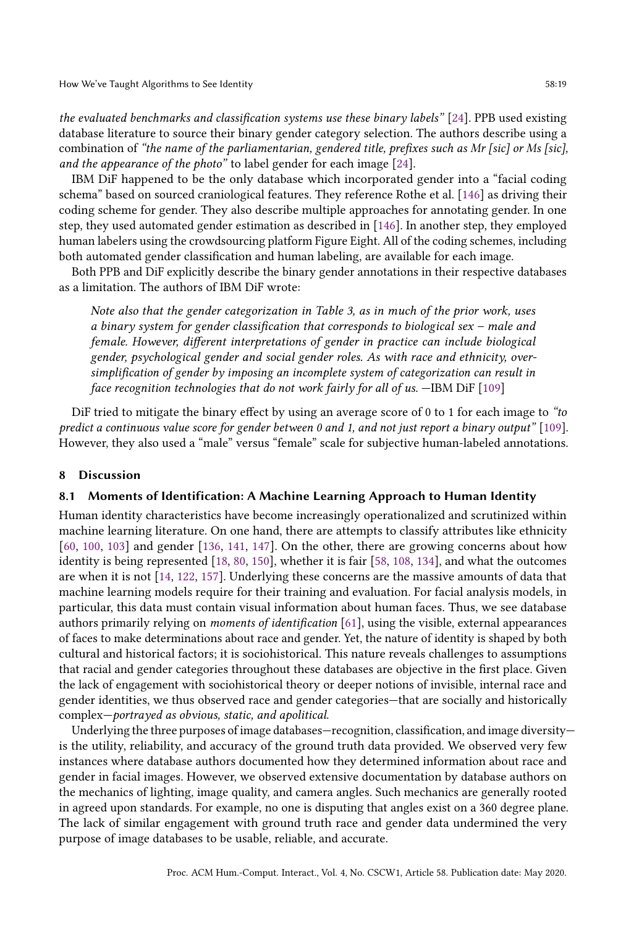How We've Taught Algorithms to See Identity 58:19

the evaluated benchmarks and classification systems use these binary labels" [\[24\]](#page-27-3). PPB used existing database literature to source their binary gender category selection. The authors describe using a combination of "the name of the parliamentarian, gendered title, prefixes such as Mr [sic] or Ms [sic], and the appearance of the photo" to label gender for each image [\[24\]](#page-27-3).

IBM DiF happened to be the only database which incorporated gender into a "facial coding schema" based on sourced craniological features. They reference Rothe et al. [\[146\]](#page-33-16) as driving their coding scheme for gender. They also describe multiple approaches for annotating gender. In one step, they used automated gender estimation as described in [\[146\]](#page-33-16). In another step, they employed human labelers using the crowdsourcing platform Figure Eight. All of the coding schemes, including both automated gender classification and human labeling, are available for each image.

Both PPB and DiF explicitly describe the binary gender annotations in their respective databases as a limitation. The authors of IBM DiF wrote:

Note also that the gender categorization in Table 3, as in much of the prior work, uses a binary system for gender classification that corresponds to biological sex – male and female. However, different interpretations of gender in practice can include biological gender, psychological gender and social gender roles. As with race and ethnicity, oversimplification of gender by imposing an incomplete system of categorization can result in face recognition technologies that do not work fairly for all of us. —IBM DiF [\[109\]](#page-31-17)

DiF tried to mitigate the binary effect by using an average score of 0 to 1 for each image to "to predict a continuous value score for gender between 0 and 1, and not just report a binary output" [\[109\]](#page-31-17). However, they also used a "male" versus "female" scale for subjective human-labeled annotations.

#### 8 Discussion

#### 8.1 Moments of Identification: A Machine Learning Approach to Human Identity

Human identity characteristics have become increasingly operationalized and scrutinized within machine learning literature. On one hand, there are attempts to classify attributes like ethnicity [\[60,](#page-29-13) [100,](#page-31-12) [103\]](#page-31-13) and gender [\[136,](#page-32-6) [141,](#page-32-7) [147\]](#page-33-9). On the other, there are growing concerns about how identity is being represented [\[18,](#page-27-5) [80,](#page-30-0) [150\]](#page-33-2), whether it is fair [\[58,](#page-29-2) [108,](#page-31-2) [134\]](#page-32-2), and what the outcomes are when it is not [\[14,](#page-27-4) [122,](#page-32-4) [157\]](#page-33-17). Underlying these concerns are the massive amounts of data that machine learning models require for their training and evaluation. For facial analysis models, in particular, this data must contain visual information about human faces. Thus, we see database authors primarily relying on moments of identification [\[61\]](#page-29-5), using the visible, external appearances of faces to make determinations about race and gender. Yet, the nature of identity is shaped by both cultural and historical factors; it is sociohistorical. This nature reveals challenges to assumptions that racial and gender categories throughout these databases are objective in the first place. Given the lack of engagement with sociohistorical theory or deeper notions of invisible, internal race and gender identities, we thus observed race and gender categories—that are socially and historically complex—portrayed as obvious, static, and apolitical.

Underlying the three purposes of image databases—recognition, classification, and image diversity is the utility, reliability, and accuracy of the ground truth data provided. We observed very few instances where database authors documented how they determined information about race and gender in facial images. However, we observed extensive documentation by database authors on the mechanics of lighting, image quality, and camera angles. Such mechanics are generally rooted in agreed upon standards. For example, no one is disputing that angles exist on a 360 degree plane. The lack of similar engagement with ground truth race and gender data undermined the very purpose of image databases to be usable, reliable, and accurate.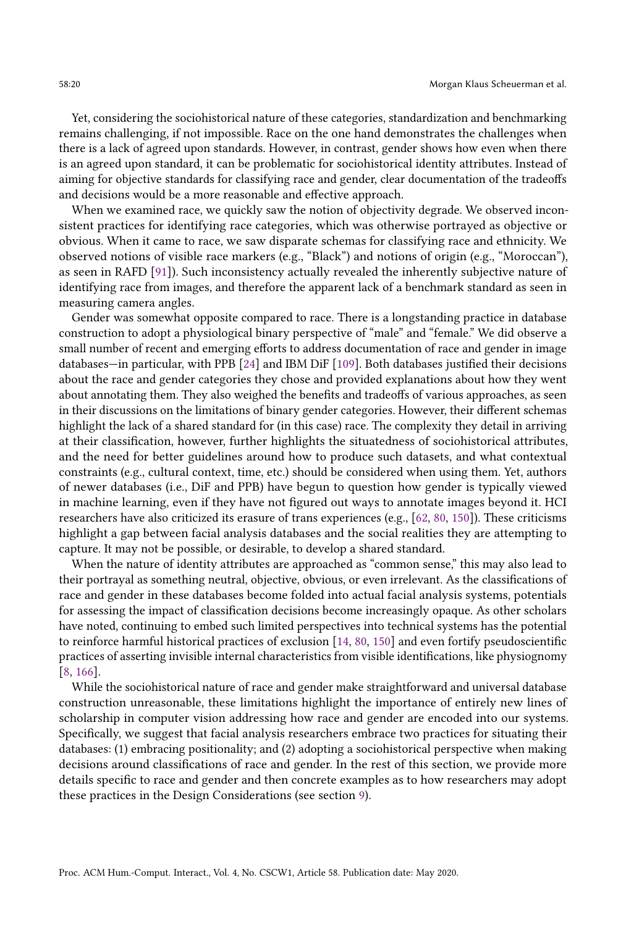Yet, considering the sociohistorical nature of these categories, standardization and benchmarking remains challenging, if not impossible. Race on the one hand demonstrates the challenges when there is a lack of agreed upon standards. However, in contrast, gender shows how even when there is an agreed upon standard, it can be problematic for sociohistorical identity attributes. Instead of aiming for objective standards for classifying race and gender, clear documentation of the tradeoffs and decisions would be a more reasonable and effective approach.

When we examined race, we quickly saw the notion of objectivity degrade. We observed inconsistent practices for identifying race categories, which was otherwise portrayed as objective or obvious. When it came to race, we saw disparate schemas for classifying race and ethnicity. We observed notions of visible race markers (e.g., "Black") and notions of origin (e.g., "Moroccan"), as seen in RAFD [\[91\]](#page-30-13)). Such inconsistency actually revealed the inherently subjective nature of identifying race from images, and therefore the apparent lack of a benchmark standard as seen in measuring camera angles.

Gender was somewhat opposite compared to race. There is a longstanding practice in database construction to adopt a physiological binary perspective of "male" and "female." We did observe a small number of recent and emerging efforts to address documentation of race and gender in image databases—in particular, with PPB [\[24\]](#page-27-3) and IBM DiF [\[109\]](#page-31-17). Both databases justified their decisions about the race and gender categories they chose and provided explanations about how they went about annotating them. They also weighed the benefits and tradeoffs of various approaches, as seen in their discussions on the limitations of binary gender categories. However, their different schemas highlight the lack of a shared standard for (in this case) race. The complexity they detail in arriving at their classification, however, further highlights the situatedness of sociohistorical attributes, and the need for better guidelines around how to produce such datasets, and what contextual constraints (e.g., cultural context, time, etc.) should be considered when using them. Yet, authors of newer databases (i.e., DiF and PPB) have begun to question how gender is typically viewed in machine learning, even if they have not figured out ways to annotate images beyond it. HCI researchers have also criticized its erasure of trans experiences (e.g., [\[62,](#page-29-7) [80,](#page-30-0) [150\]](#page-33-2)). These criticisms highlight a gap between facial analysis databases and the social realities they are attempting to capture. It may not be possible, or desirable, to develop a shared standard.

When the nature of identity attributes are approached as "common sense," this may also lead to their portrayal as something neutral, objective, obvious, or even irrelevant. As the classifications of race and gender in these databases become folded into actual facial analysis systems, potentials for assessing the impact of classification decisions become increasingly opaque. As other scholars have noted, continuing to embed such limited perspectives into technical systems has the potential to reinforce harmful historical practices of exclusion [\[14,](#page-27-4) [80,](#page-30-0) [150\]](#page-33-2) and even fortify pseudoscientific practices of asserting invisible internal characteristics from visible identifications, like physiognomy [\[8,](#page-27-22) [166\]](#page-34-9).

While the sociohistorical nature of race and gender make straightforward and universal database construction unreasonable, these limitations highlight the importance of entirely new lines of scholarship in computer vision addressing how race and gender are encoded into our systems. Specifically, we suggest that facial analysis researchers embrace two practices for situating their databases: (1) embracing positionality; and (2) adopting a sociohistorical perspective when making decisions around classifications of race and gender. In the rest of this section, we provide more details specific to race and gender and then concrete examples as to how researchers may adopt these practices in the Design Considerations (see section [9\)](#page-22-0).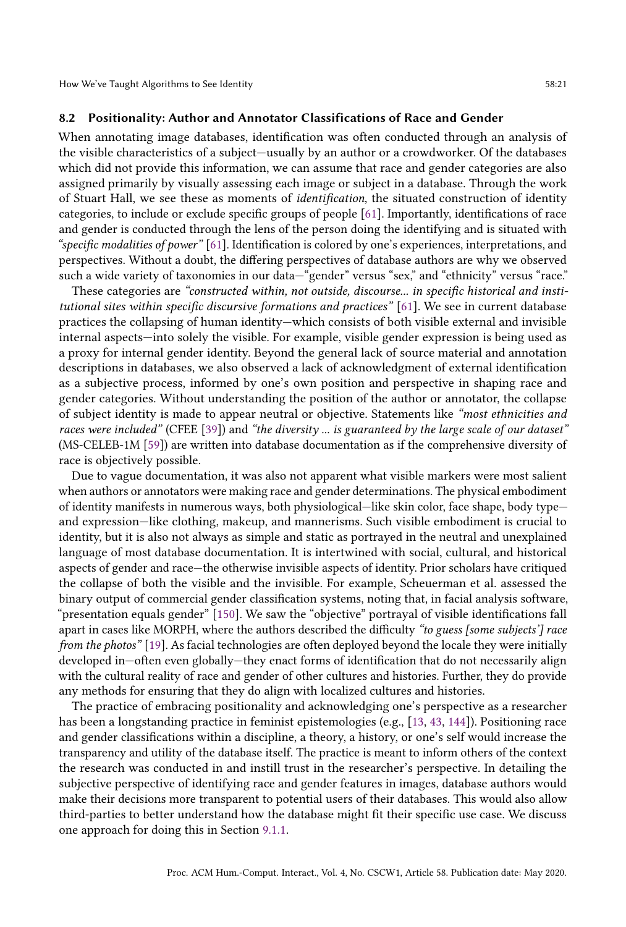How We've Taught Algorithms to See Identity 58:21

#### 8.2 Positionality: Author and Annotator Classifications of Race and Gender

When annotating image databases, identification was often conducted through an analysis of the visible characteristics of a subject—usually by an author or a crowdworker. Of the databases which did not provide this information, we can assume that race and gender categories are also assigned primarily by visually assessing each image or subject in a database. Through the work of Stuart Hall, we see these as moments of identification, the situated construction of identity categories, to include or exclude specific groups of people [\[61\]](#page-29-5). Importantly, identifications of race and gender is conducted through the lens of the person doing the identifying and is situated with "specific modalities of power" [\[61\]](#page-29-5). Identification is colored by one's experiences, interpretations, and perspectives. Without a doubt, the differing perspectives of database authors are why we observed such a wide variety of taxonomies in our data—"gender" versus "sex," and "ethnicity" versus "race."

These categories are "constructed within, not outside, discourse... in specific historical and institutional sites within specific discursive formations and practices" [\[61\]](#page-29-5). We see in current database practices the collapsing of human identity—which consists of both visible external and invisible internal aspects—into solely the visible. For example, visible gender expression is being used as a proxy for internal gender identity. Beyond the general lack of source material and annotation descriptions in databases, we also observed a lack of acknowledgment of external identification as a subjective process, informed by one's own position and perspective in shaping race and gender categories. Without understanding the position of the author or annotator, the collapse of subject identity is made to appear neutral or objective. Statements like "most ethnicities and races were included" (CFEE [\[39\]](#page-28-14)) and "the diversity ... is guaranteed by the large scale of our dataset" (MS-CELEB-1M [\[59\]](#page-29-17)) are written into database documentation as if the comprehensive diversity of race is objectively possible.

Due to vague documentation, it was also not apparent what visible markers were most salient when authors or annotators were making race and gender determinations. The physical embodiment of identity manifests in numerous ways, both physiological—like skin color, face shape, body type and expression—like clothing, makeup, and mannerisms. Such visible embodiment is crucial to identity, but it is also not always as simple and static as portrayed in the neutral and unexplained language of most database documentation. It is intertwined with social, cultural, and historical aspects of gender and race—the otherwise invisible aspects of identity. Prior scholars have critiqued the collapse of both the visible and the invisible. For example, Scheuerman et al. assessed the binary output of commercial gender classification systems, noting that, in facial analysis software, "presentation equals gender" [\[150\]](#page-33-2). We saw the "objective" portrayal of visible identifications fall apart in cases like MORPH, where the authors described the difficulty "to guess [some subjects'] race from the photos" [\[19\]](#page-27-21). As facial technologies are often deployed beyond the locale they were initially developed in—often even globally—they enact forms of identification that do not necessarily align with the cultural reality of race and gender of other cultures and histories. Further, they do provide any methods for ensuring that they do align with localized cultures and histories.

<span id="page-20-0"></span>The practice of embracing positionality and acknowledging one's perspective as a researcher has been a longstanding practice in feminist epistemologies (e.g., [\[13,](#page-27-14) [43,](#page-28-18) [144\]](#page-33-18)). Positioning race and gender classifications within a discipline, a theory, a history, or one's self would increase the transparency and utility of the database itself. The practice is meant to inform others of the context the research was conducted in and instill trust in the researcher's perspective. In detailing the subjective perspective of identifying race and gender features in images, database authors would make their decisions more transparent to potential users of their databases. This would also allow third-parties to better understand how the database might fit their specific use case. We discuss one approach for doing this in Section [9.1.1.](#page-23-0)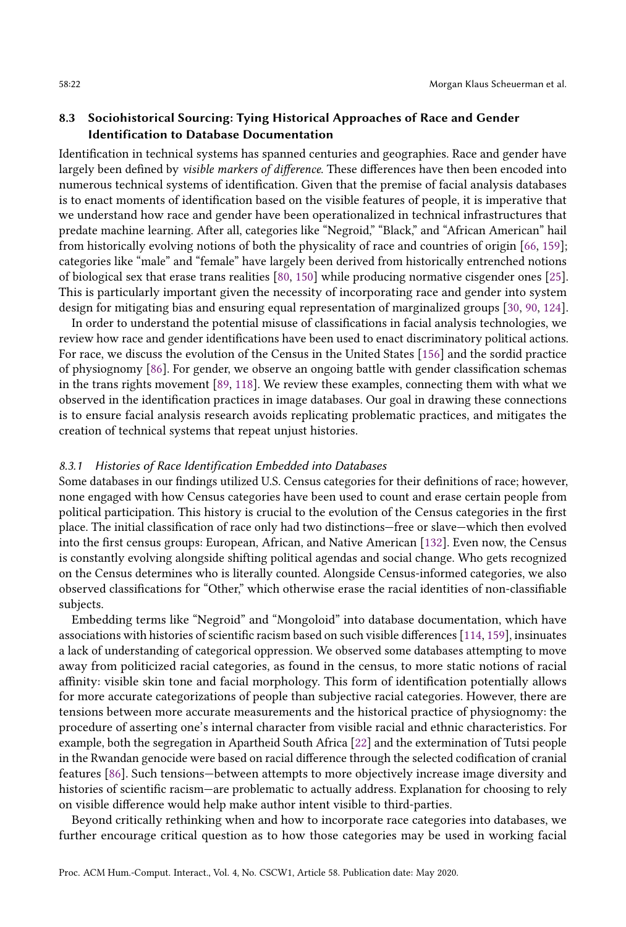## 8.3 Sociohistorical Sourcing: Tying Historical Approaches of Race and Gender Identification to Database Documentation

Identification in technical systems has spanned centuries and geographies. Race and gender have largely been defined by visible markers of difference. These differences have then been encoded into numerous technical systems of identification. Given that the premise of facial analysis databases is to enact moments of identification based on the visible features of people, it is imperative that we understand how race and gender have been operationalized in technical infrastructures that predate machine learning. After all, categories like "Negroid," "Black," and "African American" hail from historically evolving notions of both the physicality of race and countries of origin [\[66,](#page-29-14) [159\]](#page-33-19); categories like "male" and "female" have largely been derived from historically entrenched notions of biological sex that erase trans realities [\[80,](#page-30-0) [150\]](#page-33-2) while producing normative cisgender ones [\[25\]](#page-27-9). This is particularly important given the necessity of incorporating race and gender into system design for mitigating bias and ensuring equal representation of marginalized groups [\[30,](#page-28-19) [90,](#page-30-17) [124\]](#page-32-16).

In order to understand the potential misuse of classifications in facial analysis technologies, we review how race and gender identifications have been used to enact discriminatory political actions. For race, we discuss the evolution of the Census in the United States [\[156\]](#page-33-6) and the sordid practice of physiognomy [\[86\]](#page-30-4). For gender, we observe an ongoing battle with gender classification schemas in the trans rights movement [\[89,](#page-30-18) [118\]](#page-31-7). We review these examples, connecting them with what we observed in the identification practices in image databases. Our goal in drawing these connections is to ensure facial analysis research avoids replicating problematic practices, and mitigates the creation of technical systems that repeat unjust histories.

#### 8.3.1 Histories of Race Identification Embedded into Databases

Some databases in our findings utilized U.S. Census categories for their definitions of race; however, none engaged with how Census categories have been used to count and erase certain people from political participation. This history is crucial to the evolution of the Census categories in the first place. The initial classification of race only had two distinctions—free or slave—which then evolved into the first census groups: European, African, and Native American [\[132\]](#page-32-17). Even now, the Census is constantly evolving alongside shifting political agendas and social change. Who gets recognized on the Census determines who is literally counted. Alongside Census-informed categories, we also observed classifications for "Other," which otherwise erase the racial identities of non-classifiable subjects.

Embedding terms like "Negroid" and "Mongoloid" into database documentation, which have associations with histories of scientific racism based on such visible differences [\[114,](#page-31-21) [159\]](#page-33-19), insinuates a lack of understanding of categorical oppression. We observed some databases attempting to move away from politicized racial categories, as found in the census, to more static notions of racial affinity: visible skin tone and facial morphology. This form of identification potentially allows for more accurate categorizations of people than subjective racial categories. However, there are tensions between more accurate measurements and the historical practice of physiognomy: the procedure of asserting one's internal character from visible racial and ethnic characteristics. For example, both the segregation in Apartheid South Africa [\[22\]](#page-27-10) and the extermination of Tutsi people in the Rwandan genocide were based on racial difference through the selected codification of cranial features [\[86\]](#page-30-4). Such tensions—between attempts to more objectively increase image diversity and histories of scientific racism—are problematic to actually address. Explanation for choosing to rely on visible difference would help make author intent visible to third-parties.

Beyond critically rethinking when and how to incorporate race categories into databases, we further encourage critical question as to how those categories may be used in working facial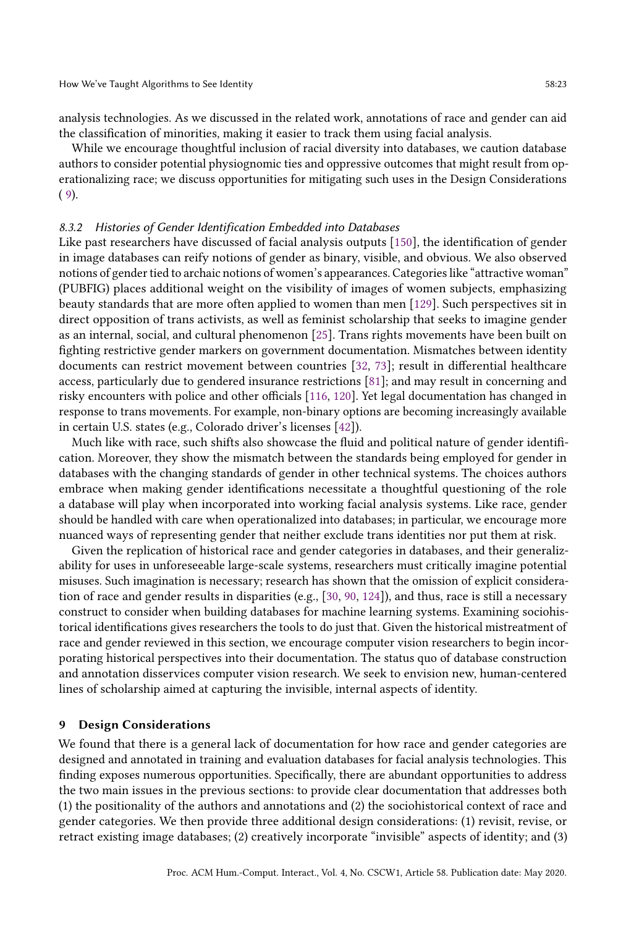analysis technologies. As we discussed in the related work, annotations of race and gender can aid the classification of minorities, making it easier to track them using facial analysis.

While we encourage thoughtful inclusion of racial diversity into databases, we caution database authors to consider potential physiognomic ties and oppressive outcomes that might result from operationalizing race; we discuss opportunities for mitigating such uses in the Design Considerations  $(9).$  $(9).$  $(9).$ 

#### 8.3.2 Histories of Gender Identification Embedded into Databases

Like past researchers have discussed of facial analysis outputs [\[150\]](#page-33-2), the identification of gender in image databases can reify notions of gender as binary, visible, and obvious. We also observed notions of gender tied to archaic notions of women's appearances. Categories like "attractive woman" (PUBFIG) places additional weight on the visibility of images of women subjects, emphasizing beauty standards that are more often applied to women than men [\[129\]](#page-32-18). Such perspectives sit in direct opposition of trans activists, as well as feminist scholarship that seeks to imagine gender as an internal, social, and cultural phenomenon [\[25\]](#page-27-9). Trans rights movements have been built on fighting restrictive gender markers on government documentation. Mismatches between identity documents can restrict movement between countries [\[32,](#page-28-20) [73\]](#page-29-18); result in differential healthcare access, particularly due to gendered insurance restrictions [\[81\]](#page-30-19); and may result in concerning and risky encounters with police and other officials [\[116,](#page-31-10) [120\]](#page-32-19). Yet legal documentation has changed in response to trans movements. For example, non-binary options are becoming increasingly available in certain U.S. states (e.g., Colorado driver's licenses [\[42\]](#page-28-6)).

Much like with race, such shifts also showcase the fluid and political nature of gender identification. Moreover, they show the mismatch between the standards being employed for gender in databases with the changing standards of gender in other technical systems. The choices authors embrace when making gender identifications necessitate a thoughtful questioning of the role a database will play when incorporated into working facial analysis systems. Like race, gender should be handled with care when operationalized into databases; in particular, we encourage more nuanced ways of representing gender that neither exclude trans identities nor put them at risk.

Given the replication of historical race and gender categories in databases, and their generalizability for uses in unforeseeable large-scale systems, researchers must critically imagine potential misuses. Such imagination is necessary; research has shown that the omission of explicit consideration of race and gender results in disparities (e.g., [\[30,](#page-28-19) [90,](#page-30-17) [124\]](#page-32-16)), and thus, race is still a necessary construct to consider when building databases for machine learning systems. Examining sociohistorical identifications gives researchers the tools to do just that. Given the historical mistreatment of race and gender reviewed in this section, we encourage computer vision researchers to begin incorporating historical perspectives into their documentation. The status quo of database construction and annotation disservices computer vision research. We seek to envision new, human-centered lines of scholarship aimed at capturing the invisible, internal aspects of identity.

## <span id="page-22-0"></span>9 Design Considerations

We found that there is a general lack of documentation for how race and gender categories are designed and annotated in training and evaluation databases for facial analysis technologies. This finding exposes numerous opportunities. Specifically, there are abundant opportunities to address the two main issues in the previous sections: to provide clear documentation that addresses both (1) the positionality of the authors and annotations and (2) the sociohistorical context of race and gender categories. We then provide three additional design considerations: (1) revisit, revise, or retract existing image databases; (2) creatively incorporate "invisible" aspects of identity; and (3)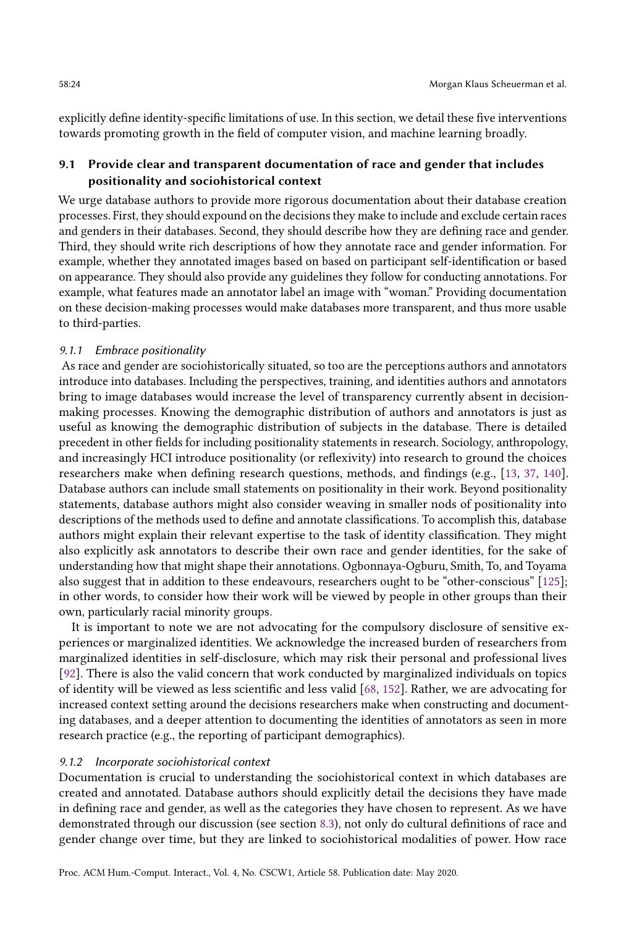explicitly define identity-specific limitations of use. In this section, we detail these five interventions towards promoting growth in the field of computer vision, and machine learning broadly.

# 9.1 Provide clear and transparent documentation of race and gender that includes positionality and sociohistorical context

We urge database authors to provide more rigorous documentation about their database creation processes. First, they should expound on the decisions they make to include and exclude certain races and genders in their databases. Second, they should describe how they are defining race and gender. Third, they should write rich descriptions of how they annotate race and gender information. For example, whether they annotated images based on based on participant self-identification or based on appearance. They should also provide any guidelines they follow for conducting annotations. For example, what features made an annotator label an image with "woman." Providing documentation on these decision-making processes would make databases more transparent, and thus more usable to third-parties.

## <span id="page-23-0"></span>9.1.1 Embrace positionality

As race and gender are sociohistorically situated, so too are the perceptions authors and annotators introduce into databases. Including the perspectives, training, and identities authors and annotators bring to image databases would increase the level of transparency currently absent in decisionmaking processes. Knowing the demographic distribution of authors and annotators is just as useful as knowing the demographic distribution of subjects in the database. There is detailed precedent in other fields for including positionality statements in research. Sociology, anthropology, and increasingly HCI introduce positionality (or reflexivity) into research to ground the choices researchers make when defining research questions, methods, and findings (e.g., [\[13,](#page-27-14) [37,](#page-28-21) [140\]](#page-32-20). Database authors can include small statements on positionality in their work. Beyond positionality statements, database authors might also consider weaving in smaller nods of positionality into descriptions of the methods used to define and annotate classifications. To accomplish this, database authors might explain their relevant expertise to the task of identity classification. They might also explicitly ask annotators to describe their own race and gender identities, for the sake of understanding how that might shape their annotations. Ogbonnaya-Ogburu, Smith, To, and Toyama also suggest that in addition to these endeavours, researchers ought to be "other-conscious" [\[125\]](#page-32-21); in other words, to consider how their work will be viewed by people in other groups than their own, particularly racial minority groups.

It is important to note we are not advocating for the compulsory disclosure of sensitive experiences or marginalized identities. We acknowledge the increased burden of researchers from marginalized identities in self-disclosure, which may risk their personal and professional lives [\[92\]](#page-30-20). There is also the valid concern that work conducted by marginalized individuals on topics of identity will be viewed as less scientific and less valid [\[68,](#page-29-19) [152\]](#page-33-20). Rather, we are advocating for increased context setting around the decisions researchers make when constructing and documenting databases, and a deeper attention to documenting the identities of annotators as seen in more research practice (e.g., the reporting of participant demographics).

#### 9.1.2 Incorporate sociohistorical context

Documentation is crucial to understanding the sociohistorical context in which databases are created and annotated. Database authors should explicitly detail the decisions they have made in defining race and gender, as well as the categories they have chosen to represent. As we have demonstrated through our discussion (see section [8.3\)](#page-20-0), not only do cultural definitions of race and gender change over time, but they are linked to sociohistorical modalities of power. How race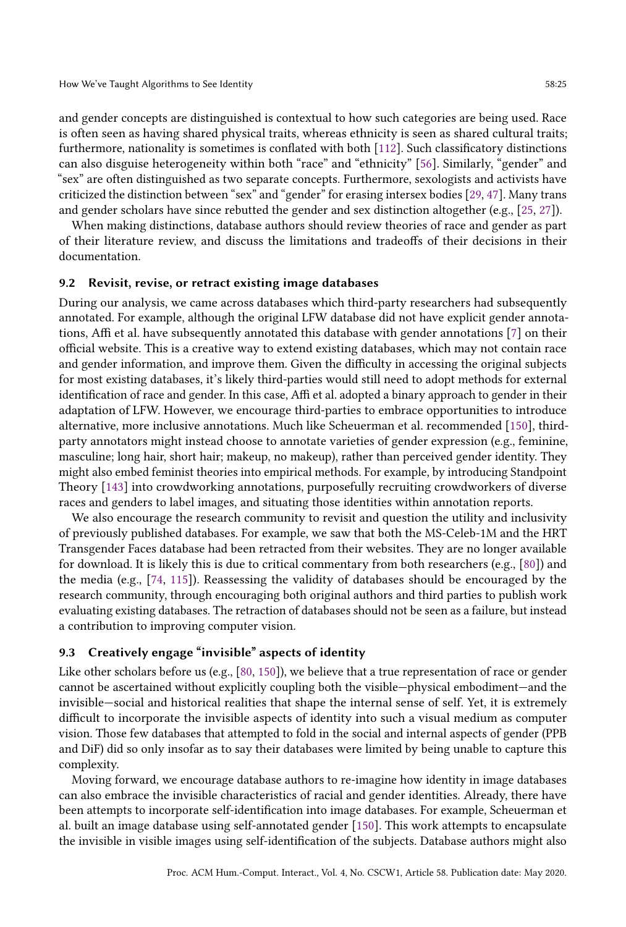and gender concepts are distinguished is contextual to how such categories are being used. Race is often seen as having shared physical traits, whereas ethnicity is seen as shared cultural traits; furthermore, nationality is sometimes is conflated with both [\[112\]](#page-31-22). Such classificatory distinctions can also disguise heterogeneity within both "race" and "ethnicity" [\[56\]](#page-29-20). Similarly, "gender" and "sex" are often distinguished as two separate concepts. Furthermore, sexologists and activists have criticized the distinction between "sex" and "gender" for erasing intersex bodies [\[29,](#page-28-9) [47\]](#page-28-10). Many trans and gender scholars have since rebutted the gender and sex distinction altogether (e.g., [\[25,](#page-27-9) [27\]](#page-27-23)).

When making distinctions, database authors should review theories of race and gender as part of their literature review, and discuss the limitations and tradeoffs of their decisions in their documentation.

#### 9.2 Revisit, revise, or retract existing image databases

During our analysis, we came across databases which third-party researchers had subsequently annotated. For example, although the original LFW database did not have explicit gender annotations, Affi et al. have subsequently annotated this database with gender annotations [\[7\]](#page-27-19) on their official website. This is a creative way to extend existing databases, which may not contain race and gender information, and improve them. Given the difficulty in accessing the original subjects for most existing databases, it's likely third-parties would still need to adopt methods for external identification of race and gender. In this case, Affi et al. adopted a binary approach to gender in their adaptation of LFW. However, we encourage third-parties to embrace opportunities to introduce alternative, more inclusive annotations. Much like Scheuerman et al. recommended [\[150\]](#page-33-2), thirdparty annotators might instead choose to annotate varieties of gender expression (e.g., feminine, masculine; long hair, short hair; makeup, no makeup), rather than perceived gender identity. They might also embed feminist theories into empirical methods. For example, by introducing Standpoint Theory [\[143\]](#page-32-22) into crowdworking annotations, purposefully recruiting crowdworkers of diverse races and genders to label images, and situating those identities within annotation reports.

We also encourage the research community to revisit and question the utility and inclusivity of previously published databases. For example, we saw that both the MS-Celeb-1M and the HRT Transgender Faces database had been retracted from their websites. They are no longer available for download. It is likely this is due to critical commentary from both researchers (e.g., [\[80\]](#page-30-0)) and the media (e.g., [\[74,](#page-29-21) [115\]](#page-31-23)). Reassessing the validity of databases should be encouraged by the research community, through encouraging both original authors and third parties to publish work evaluating existing databases. The retraction of databases should not be seen as a failure, but instead a contribution to improving computer vision.

# 9.3 Creatively engage "invisible" aspects of identity

Like other scholars before us (e.g., [\[80,](#page-30-0) [150\]](#page-33-2)), we believe that a true representation of race or gender cannot be ascertained without explicitly coupling both the visible—physical embodiment—and the invisible—social and historical realities that shape the internal sense of self. Yet, it is extremely difficult to incorporate the invisible aspects of identity into such a visual medium as computer vision. Those few databases that attempted to fold in the social and internal aspects of gender (PPB and DiF) did so only insofar as to say their databases were limited by being unable to capture this complexity.

Moving forward, we encourage database authors to re-imagine how identity in image databases can also embrace the invisible characteristics of racial and gender identities. Already, there have been attempts to incorporate self-identification into image databases. For example, Scheuerman et al. built an image database using self-annotated gender [\[150\]](#page-33-2). This work attempts to encapsulate the invisible in visible images using self-identification of the subjects. Database authors might also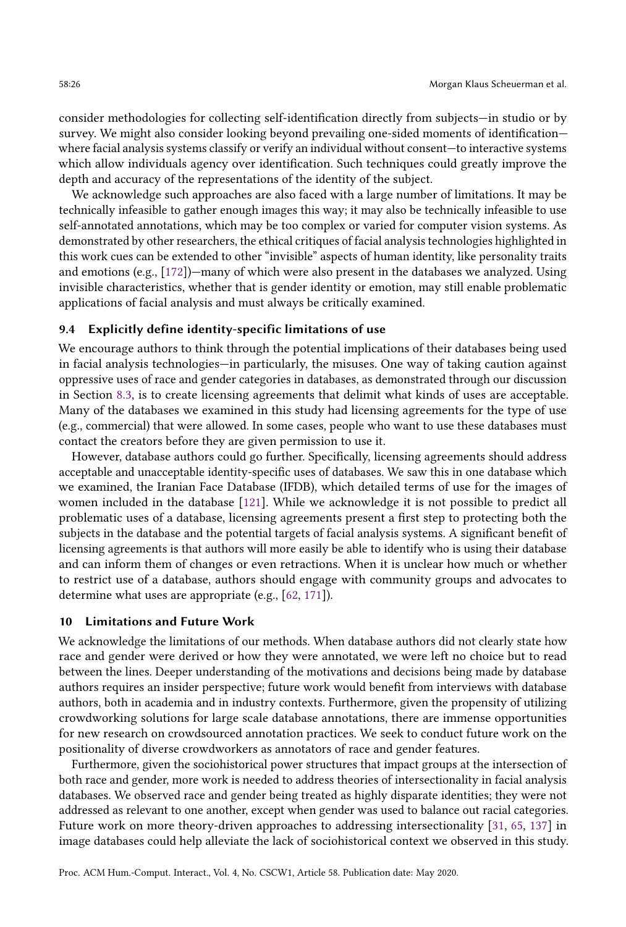consider methodologies for collecting self-identification directly from subjects—in studio or by survey. We might also consider looking beyond prevailing one-sided moments of identification where facial analysis systems classify or verify an individual without consent—to interactive systems which allow individuals agency over identification. Such techniques could greatly improve the depth and accuracy of the representations of the identity of the subject.

We acknowledge such approaches are also faced with a large number of limitations. It may be technically infeasible to gather enough images this way; it may also be technically infeasible to use self-annotated annotations, which may be too complex or varied for computer vision systems. As demonstrated by other researchers, the ethical critiques of facial analysis technologies highlighted in this work cues can be extended to other "invisible" aspects of human identity, like personality traits and emotions (e.g., [\[172\]](#page-34-10))—many of which were also present in the databases we analyzed. Using invisible characteristics, whether that is gender identity or emotion, may still enable problematic applications of facial analysis and must always be critically examined.

#### 9.4 Explicitly define identity-specific limitations of use

We encourage authors to think through the potential implications of their databases being used in facial analysis technologies—in particularly, the misuses. One way of taking caution against oppressive uses of race and gender categories in databases, as demonstrated through our discussion in Section [8.3,](#page-20-0) is to create licensing agreements that delimit what kinds of uses are acceptable. Many of the databases we examined in this study had licensing agreements for the type of use (e.g., commercial) that were allowed. In some cases, people who want to use these databases must contact the creators before they are given permission to use it.

However, database authors could go further. Specifically, licensing agreements should address acceptable and unacceptable identity-specific uses of databases. We saw this in one database which we examined, the Iranian Face Database (IFDB), which detailed terms of use for the images of women included in the database [\[121\]](#page-32-14). While we acknowledge it is not possible to predict all problematic uses of a database, licensing agreements present a first step to protecting both the subjects in the database and the potential targets of facial analysis systems. A significant benefit of licensing agreements is that authors will more easily be able to identify who is using their database and can inform them of changes or even retractions. When it is unclear how much or whether to restrict use of a database, authors should engage with community groups and advocates to determine what uses are appropriate (e.g., [\[62,](#page-29-7) [171\]](#page-34-11)).

#### 10 Limitations and Future Work

We acknowledge the limitations of our methods. When database authors did not clearly state how race and gender were derived or how they were annotated, we were left no choice but to read between the lines. Deeper understanding of the motivations and decisions being made by database authors requires an insider perspective; future work would benefit from interviews with database authors, both in academia and in industry contexts. Furthermore, given the propensity of utilizing crowdworking solutions for large scale database annotations, there are immense opportunities for new research on crowdsourced annotation practices. We seek to conduct future work on the positionality of diverse crowdworkers as annotators of race and gender features.

Furthermore, given the sociohistorical power structures that impact groups at the intersection of both race and gender, more work is needed to address theories of intersectionality in facial analysis databases. We observed race and gender being treated as highly disparate identities; they were not addressed as relevant to one another, except when gender was used to balance out racial categories. Future work on more theory-driven approaches to addressing intersectionality [\[31,](#page-28-22) [65,](#page-29-22) [137\]](#page-32-23) in image databases could help alleviate the lack of sociohistorical context we observed in this study.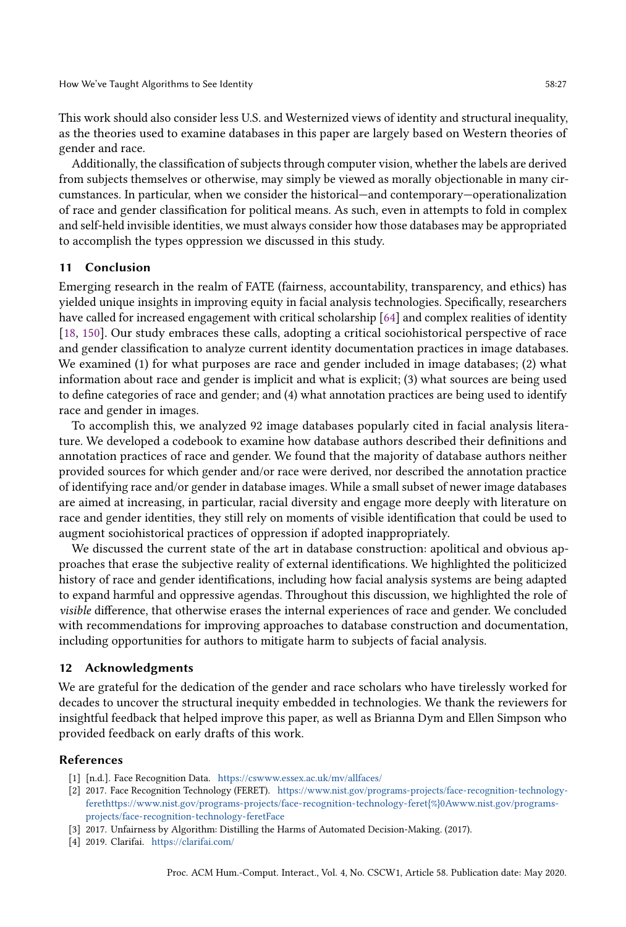This work should also consider less U.S. and Westernized views of identity and structural inequality, as the theories used to examine databases in this paper are largely based on Western theories of gender and race.

Additionally, the classification of subjects through computer vision, whether the labels are derived from subjects themselves or otherwise, may simply be viewed as morally objectionable in many circumstances. In particular, when we consider the historical—and contemporary—operationalization of race and gender classification for political means. As such, even in attempts to fold in complex and self-held invisible identities, we must always consider how those databases may be appropriated to accomplish the types oppression we discussed in this study.

## 11 Conclusion

Emerging research in the realm of FATE (fairness, accountability, transparency, and ethics) has yielded unique insights in improving equity in facial analysis technologies. Specifically, researchers have called for increased engagement with critical scholarship [\[64\]](#page-29-11) and complex realities of identity [\[18,](#page-27-5) [150\]](#page-33-2). Our study embraces these calls, adopting a critical sociohistorical perspective of race and gender classification to analyze current identity documentation practices in image databases. We examined (1) for what purposes are race and gender included in image databases; (2) what information about race and gender is implicit and what is explicit; (3) what sources are being used to define categories of race and gender; and (4) what annotation practices are being used to identify race and gender in images.

To accomplish this, we analyzed 92 image databases popularly cited in facial analysis literature. We developed a codebook to examine how database authors described their definitions and annotation practices of race and gender. We found that the majority of database authors neither provided sources for which gender and/or race were derived, nor described the annotation practice of identifying race and/or gender in database images. While a small subset of newer image databases are aimed at increasing, in particular, racial diversity and engage more deeply with literature on race and gender identities, they still rely on moments of visible identification that could be used to augment sociohistorical practices of oppression if adopted inappropriately.

We discussed the current state of the art in database construction: apolitical and obvious approaches that erase the subjective reality of external identifications. We highlighted the politicized history of race and gender identifications, including how facial analysis systems are being adapted to expand harmful and oppressive agendas. Throughout this discussion, we highlighted the role of visible difference, that otherwise erases the internal experiences of race and gender. We concluded with recommendations for improving approaches to database construction and documentation, including opportunities for authors to mitigate harm to subjects of facial analysis.

#### 12 Acknowledgments

We are grateful for the dedication of the gender and race scholars who have tirelessly worked for decades to uncover the structural inequity embedded in technologies. We thank the reviewers for insightful feedback that helped improve this paper, as well as Brianna Dym and Ellen Simpson who provided feedback on early drafts of this work.

#### References

- <span id="page-26-2"></span>[1] [n.d.]. Face Recognition Data. <https://cswww.essex.ac.uk/mv/allfaces/>
- <span id="page-26-3"></span>[2] 2017. Face Recognition Technology (FERET). [https://www.nist.gov/programs-projects/face-recognition-technology](https://www.nist.gov/programs-projects/face-recognition-technology-feret https://www.nist.gov/programs-projects/face-recognition-technology-feret{%}0Awww.nist.gov/programs-projects/face-recognition-technology-feret Face)[ferethttps://www.nist.gov/programs-projects/face-recognition-technology-feret{%}0Awww.nist.gov/programs](https://www.nist.gov/programs-projects/face-recognition-technology-feret https://www.nist.gov/programs-projects/face-recognition-technology-feret{%}0Awww.nist.gov/programs-projects/face-recognition-technology-feret Face)[projects/face-recognition-technology-feretFace](https://www.nist.gov/programs-projects/face-recognition-technology-feret https://www.nist.gov/programs-projects/face-recognition-technology-feret{%}0Awww.nist.gov/programs-projects/face-recognition-technology-feret Face)
- <span id="page-26-1"></span>[3] 2017. Unfairness by Algorithm: Distilling the Harms of Automated Decision-Making. (2017).
- <span id="page-26-0"></span>[4] 2019. Clarifai. <https://clarifai.com/>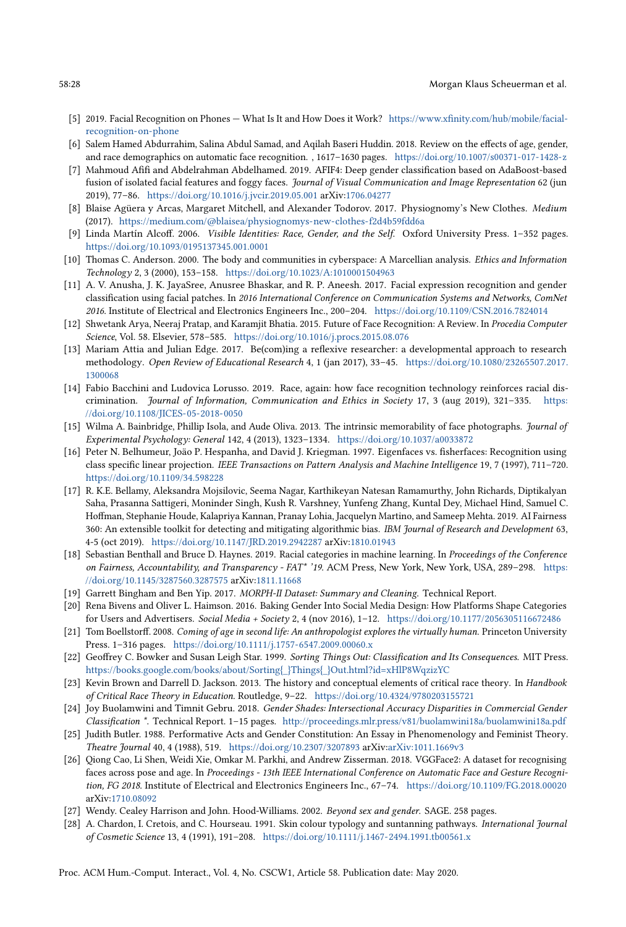- <span id="page-27-1"></span>[5] 2019. Facial Recognition on Phones — What Is It and How Does it Work? [https://www.xfinity.com/hub/mobile/facial](https://www.xfinity.com/hub/mobile/facial-recognition-on-phone)[recognition-on-phone](https://www.xfinity.com/hub/mobile/facial-recognition-on-phone)
- <span id="page-27-2"></span>[6] Salem Hamed Abdurrahim, Salina Abdul Samad, and Aqilah Baseri Huddin. 2018. Review on the effects of age, gender, and race demographics on automatic face recognition. , 1617–1630 pages. <https://doi.org/10.1007/s00371-017-1428-z>
- <span id="page-27-19"></span>[7] Mahmoud Afifi and Abdelrahman Abdelhamed. 2019. AFIF4: Deep gender classification based on AdaBoost-based fusion of isolated facial features and foggy faces. Journal of Visual Communication and Image Representation 62 (jun 2019), 77–86. <https://doi.org/10.1016/j.jvcir.2019.05.001> arXiv[:1706.04277](http://arxiv.org/abs/1706.04277)
- <span id="page-27-22"></span>[8] Blaise Agüera y Arcas, Margaret Mitchell, and Alexander Todorov. 2017. Physiognomy's New Clothes. Medium (2017). <https://medium.com/@blaisea/physiognomys-new-clothes-f2d4b59fdd6a>
- <span id="page-27-8"></span>[9] Linda Martín Alcoff. 2006. Visible Identities: Race, Gender, and the Self. Oxford University Press. 1–352 pages. <https://doi.org/10.1093/0195137345.001.0001>
- <span id="page-27-6"></span>[10] Thomas C. Anderson. 2000. The body and communities in cyberspace: A Marcellian analysis. *Ethics and Information* Technology 2, 3 (2000), 153–158. <https://doi.org/10.1023/A:1010001504963>
- <span id="page-27-17"></span>[11] A. V. Anusha, J. K. JayaSree, Anusree Bhaskar, and R. P. Aneesh. 2017. Facial expression recognition and gender classification using facial patches. In 2016 International Conference on Communication Systems and Networks, ComNet 2016. Institute of Electrical and Electronics Engineers Inc., 200–204. <https://doi.org/10.1109/CSN.2016.7824014>
- <span id="page-27-12"></span>[12] Shwetank Arya, Neeraj Pratap, and Karamjit Bhatia. 2015. Future of Face Recognition: A Review. In Procedia Computer Science, Vol. 58. Elsevier, 578–585. <https://doi.org/10.1016/j.procs.2015.08.076>
- <span id="page-27-14"></span>[13] Mariam Attia and Julian Edge. 2017. Be(com)ing a reflexive researcher: a developmental approach to research methodology. Open Review of Educational Research 4, 1 (jan 2017), 33–45. [https://doi.org/10.1080/23265507.2017.](https://doi.org/10.1080/23265507.2017.1300068) [1300068](https://doi.org/10.1080/23265507.2017.1300068)
- <span id="page-27-4"></span>[14] Fabio Bacchini and Ludovica Lorusso. 2019. Race, again: how face recognition technology reinforces racial discrimination. Journal of Information, Communication and Ethics in Society 17, 3 (aug 2019), 321–335. [https:](https://doi.org/10.1108/JICES-05-2018-0050) [//doi.org/10.1108/JICES-05-2018-0050](https://doi.org/10.1108/JICES-05-2018-0050)
- <span id="page-27-16"></span>[15] Wilma A. Bainbridge, Phillip Isola, and Aude Oliva. 2013. The intrinsic memorability of face photographs. Journal of Experimental Psychology: General 142, 4 (2013), 1323–1334. <https://doi.org/10.1037/a0033872>
- <span id="page-27-13"></span>[16] Peter N. Belhumeur, Joäo P. Hespanha, and David J. Kriegman. 1997. Eigenfaces vs. fisherfaces: Recognition using class specific linear projection. IEEE Transactions on Pattern Analysis and Machine Intelligence 19, 7 (1997), 711–720. <https://doi.org/10.1109/34.598228>
- <span id="page-27-11"></span>[17] R. K.E. Bellamy, Aleksandra Mojsilovic, Seema Nagar, Karthikeyan Natesan Ramamurthy, John Richards, Diptikalyan Saha, Prasanna Sattigeri, Moninder Singh, Kush R. Varshney, Yunfeng Zhang, Kuntal Dey, Michael Hind, Samuel C. Hoffman, Stephanie Houde, Kalapriya Kannan, Pranay Lohia, Jacquelyn Martino, and Sameep Mehta. 2019. AI Fairness 360: An extensible toolkit for detecting and mitigating algorithmic bias. IBM Journal of Research and Development 63, 4-5 (oct 2019). <https://doi.org/10.1147/JRD.2019.2942287> arXiv[:1810.01943](http://arxiv.org/abs/1810.01943)
- <span id="page-27-5"></span>[18] Sebastian Benthall and Bruce D. Haynes. 2019. Racial categories in machine learning. In Proceedings of the Conference on Fairness, Accountability, and Transparency - FAT\* '19. ACM Press, New York, New York, USA, 289–298. [https:](https://doi.org/10.1145/3287560.3287575) [//doi.org/10.1145/3287560.3287575](https://doi.org/10.1145/3287560.3287575) arXiv[:1811.11668](http://arxiv.org/abs/1811.11668)
- <span id="page-27-21"></span>[19] Garrett Bingham and Ben Yip. 2017. MORPH-II Dataset: Summary and Cleaning. Technical Report.
- <span id="page-27-0"></span>[20] Rena Bivens and Oliver L. Haimson. 2016. Baking Gender Into Social Media Design: How Platforms Shape Categories for Users and Advertisers. Social Media + Society 2, 4 (nov 2016), 1–12. <https://doi.org/10.1177/2056305116672486>
- <span id="page-27-7"></span>[21] Tom Boellstorff. 2008. Coming of age in second life: An anthropologist explores the virtually human. Princeton University Press. 1–316 pages. <https://doi.org/10.1111/j.1757-6547.2009.00060.x>
- <span id="page-27-10"></span>[22] Geoffrey C. Bowker and Susan Leigh Star. 1999. Sorting Things Out: Classification and Its Consequences. MIT Press. [https://books.google.com/books/about/Sorting{\\_}Things{\\_}Out.html?id=xHlP8WqzizYC](https://books.google.com/books/about/Sorting{_}Things{_}Out.html?id=xHlP8WqzizYC)
- <span id="page-27-15"></span>[23] Kevin Brown and Darrell D. Jackson. 2013. The history and conceptual elements of critical race theory. In Handbook of Critical Race Theory in Education. Routledge, 9–22. <https://doi.org/10.4324/9780203155721>
- <span id="page-27-3"></span>[24] Joy Buolamwini and Timnit Gebru. 2018. Gender Shades: Intersectional Accuracy Disparities in Commercial Gender Classification \*. Technical Report. 1–15 pages. <http://proceedings.mlr.press/v81/buolamwini18a/buolamwini18a.pdf>
- <span id="page-27-9"></span>[25] Judith Butler. 1988. Performative Acts and Gender Constitution: An Essay in Phenomenology and Feminist Theory. Theatre Journal 40, 4 (1988), 519. <https://doi.org/10.2307/3207893> arXiv[:arXiv:1011.1669v3](http://arxiv.org/abs/arXiv:1011.1669v3)
- <span id="page-27-18"></span>[26] Qiong Cao, Li Shen, Weidi Xie, Omkar M. Parkhi, and Andrew Zisserman. 2018. VGGFace2: A dataset for recognising faces across pose and age. In Proceedings - 13th IEEE International Conference on Automatic Face and Gesture Recognition, FG 2018. Institute of Electrical and Electronics Engineers Inc., 67–74. <https://doi.org/10.1109/FG.2018.00020> arXiv[:1710.08092](http://arxiv.org/abs/1710.08092)
- <span id="page-27-23"></span>[27] Wendy. Cealey Harrison and John. Hood-Williams. 2002. Beyond sex and gender. SAGE. 258 pages.
- <span id="page-27-20"></span>[28] A. Chardon, I. Cretois, and C. Hourseau. 1991. Skin colour typology and suntanning pathways. International Journal of Cosmetic Science 13, 4 (1991), 191–208. <https://doi.org/10.1111/j.1467-2494.1991.tb00561.x>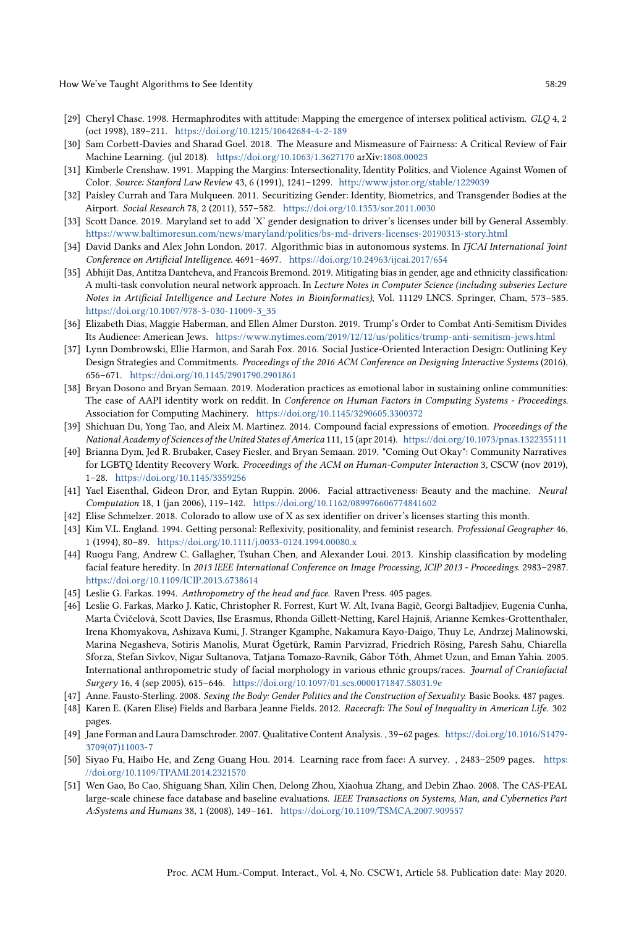How We've Taught Algorithms to See Identity 58:29

- <span id="page-28-9"></span>[29] Cheryl Chase. 1998. Hermaphrodites with attitude: Mapping the emergence of intersex political activism. GLQ 4, 2 (oct 1998), 189–211. <https://doi.org/10.1215/10642684-4-2-189>
- <span id="page-28-19"></span>[30] Sam Corbett-Davies and Sharad Goel. 2018. The Measure and Mismeasure of Fairness: A Critical Review of Fair Machine Learning. (jul 2018). <https://doi.org/10.1063/1.3627170> arXiv[:1808.00023](http://arxiv.org/abs/1808.00023)
- <span id="page-28-22"></span>[31] Kimberle Crenshaw. 1991. Mapping the Margins: Intersectionality, Identity Politics, and Violence Against Women of Color. Source: Stanford Law Review 43, 6 (1991), 1241–1299. <http://www.jstor.org/stable/1229039>
- <span id="page-28-20"></span>[32] Paisley Currah and Tara Mulqueen. 2011. Securitizing Gender: Identity, Biometrics, and Transgender Bodies at the Airport. Social Research 78, 2 (2011), 557–582. <https://doi.org/10.1353/sor.2011.0030>
- <span id="page-28-5"></span>[33] Scott Dance. 2019. Maryland set to add 'X' gender designation to driver's licenses under bill by General Assembly. <https://www.baltimoresun.com/news/maryland/politics/bs-md-drivers-licenses-20190313-story.html>
- <span id="page-28-0"></span>[34] David Danks and Alex John London. 2017. Algorithmic bias in autonomous systems. In IJCAI International Joint Conference on Artificial Intelligence. 4691–4697. <https://doi.org/10.24963/ijcai.2017/654>
- <span id="page-28-7"></span>[35] Abhijit Das, Antitza Dantcheva, and Francois Bremond. 2019. Mitigating bias in gender, age and ethnicity classification: A multi-task convolution neural network approach. In Lecture Notes in Computer Science (including subseries Lecture Notes in Artificial Intelligence and Lecture Notes in Bioinformatics), Vol. 11129 LNCS. Springer, Cham, 573–585. [https://doi.org/10.1007/978-3-030-11009-3\\_35](https://doi.org/10.1007/978-3-030-11009-3_35)
- <span id="page-28-4"></span>[36] Elizabeth Dias, Maggie Haberman, and Ellen Almer Durston. 2019. Trump's Order to Combat Anti-Semitism Divides Its Audience: American Jews. <https://www.nytimes.com/2019/12/12/us/politics/trump-anti-semitism-jews.html>
- <span id="page-28-21"></span>[37] Lynn Dombrowski, Ellie Harmon, and Sarah Fox. 2016. Social Justice-Oriented Interaction Design: Outlining Key Design Strategies and Commitments. Proceedings of the 2016 ACM Conference on Designing Interactive Systems (2016), 656–671. <https://doi.org/10.1145/2901790.2901861>
- <span id="page-28-1"></span>[38] Bryan Dosono and Bryan Semaan. 2019. Moderation practices as emotional labor in sustaining online communities: The case of AAPI identity work on reddit. In Conference on Human Factors in Computing Systems - Proceedings. Association for Computing Machinery. <https://doi.org/10.1145/3290605.3300372>
- <span id="page-28-14"></span>[39] Shichuan Du, Yong Tao, and Aleix M. Martinez. 2014. Compound facial expressions of emotion. Proceedings of the National Academy of Sciences of the United States of America 111, 15 (apr 2014). <https://doi.org/10.1073/pnas.1322355111>
- <span id="page-28-2"></span>[40] Brianna Dym, Jed R. Brubaker, Casey Fiesler, and Bryan Semaan. 2019. "Coming Out Okay": Community Narratives for LGBTQ Identity Recovery Work. Proceedings of the ACM on Human-Computer Interaction 3, CSCW (nov 2019), 1–28. <https://doi.org/10.1145/3359256>
- <span id="page-28-8"></span>[41] Yael Eisenthal, Gideon Dror, and Eytan Ruppin. 2006. Facial attractiveness: Beauty and the machine. Neural Computation 18, 1 (jan 2006), 119–142. <https://doi.org/10.1162/089976606774841602>
- <span id="page-28-6"></span>[42] Elise Schmelzer. 2018. Colorado to allow use of X as sex identifier on driver's licenses starting this month.
- <span id="page-28-18"></span>[43] Kim V.L. England. 1994. Getting personal: Reflexivity, positionality, and feminist research. Professional Geographer 46, 1 (1994), 80–89. <https://doi.org/10.1111/j.0033-0124.1994.00080.x>
- <span id="page-28-17"></span>[44] Ruogu Fang, Andrew C. Gallagher, Tsuhan Chen, and Alexander Loui. 2013. Kinship classification by modeling facial feature heredity. In 2013 IEEE International Conference on Image Processing, ICIP 2013 - Proceedings. 2983–2987. <https://doi.org/10.1109/ICIP.2013.6738614>
- <span id="page-28-12"></span>[45] Leslie G. Farkas. 1994. Anthropometry of the head and face. Raven Press. 405 pages.
- <span id="page-28-13"></span>[46] Leslie G. Farkas, Marko J. Katic, Christopher R. Forrest, Kurt W. Alt, Ivana Bagič, Georgi Baltadjiev, Eugenia Cunha, Marta Čvičelová, Scott Davies, Ilse Erasmus, Rhonda Gillett-Netting, Karel Hajniš, Arianne Kemkes-Grottenthaler, Irena Khomyakova, Ashizava Kumi, J. Stranger Kgamphe, Nakamura Kayo-Daigo, Thuy Le, Andrzej Malinowski, Marina Negasheva, Sotiris Manolis, Murat Ögetürk, Ramin Parvizrad, Friedrich Rösing, Paresh Sahu, Chiarella Sforza, Stefan Sivkov, Nigar Sultanova, Tatjana Tomazo-Ravnik, Gábor Tóth, Ahmet Uzun, and Eman Yahia. 2005. International anthropometric study of facial morphology in various ethnic groups/races. Journal of Craniofacial Surgery 16, 4 (sep 2005), 615–646. <https://doi.org/10.1097/01.scs.0000171847.58031.9e>
- <span id="page-28-10"></span>[47] Anne. Fausto-Sterling. 2008. Sexing the Body: Gender Politics and the Construction of Sexuality. Basic Books. 487 pages.
- <span id="page-28-3"></span>[48] Karen E. (Karen Elise) Fields and Barbara Jeanne Fields. 2012. Racecraft: The Soul of Inequality in American Life. 302 pages.
- <span id="page-28-11"></span>[49] Jane Forman and Laura Damschroder. 2007. Qualitative Content Analysis. , 39–62 pages. [https://doi.org/10.1016/S1479-](https://doi.org/10.1016/S1479-3709(07)11003-7) [3709\(07\)11003-7](https://doi.org/10.1016/S1479-3709(07)11003-7)
- <span id="page-28-15"></span>[50] Siyao Fu, Haibo He, and Zeng Guang Hou. 2014. Learning race from face: A survey. , 2483–2509 pages. [https:](https://doi.org/10.1109/TPAMI.2014.2321570) [//doi.org/10.1109/TPAMI.2014.2321570](https://doi.org/10.1109/TPAMI.2014.2321570)
- <span id="page-28-16"></span>[51] Wen Gao, Bo Cao, Shiguang Shan, Xilin Chen, Delong Zhou, Xiaohua Zhang, and Debin Zhao. 2008. The CAS-PEAL large-scale chinese face database and baseline evaluations. IEEE Transactions on Systems, Man, and Cybernetics Part A:Systems and Humans 38, 1 (2008), 149–161. <https://doi.org/10.1109/TSMCA.2007.909557>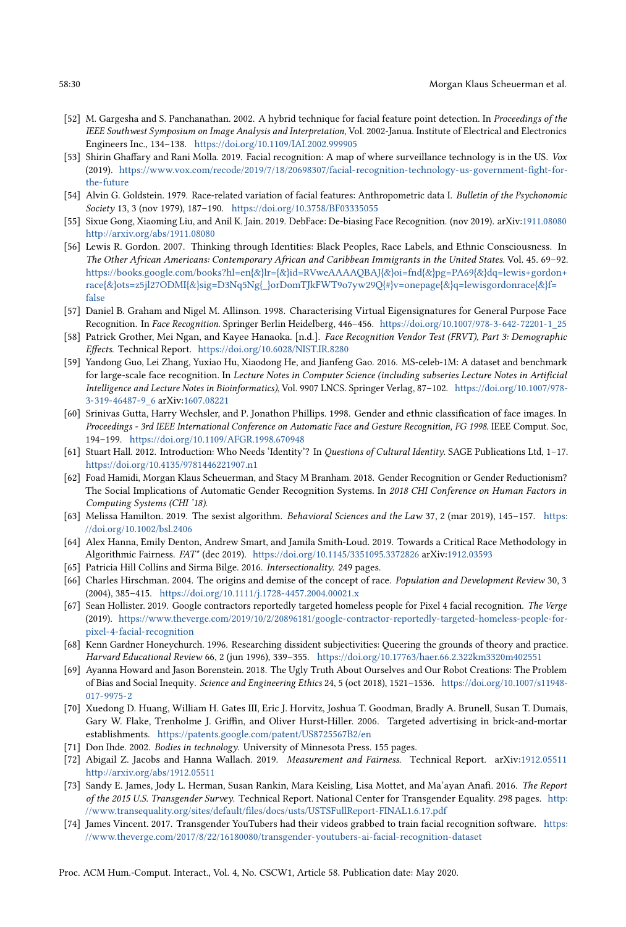- <span id="page-29-12"></span>[52] M. Gargesha and S. Panchanathan. 2002. A hybrid technique for facial feature point detection. In Proceedings of the IEEE Southwest Symposium on Image Analysis and Interpretation, Vol. 2002-Janua. Institute of Electrical and Electronics Engineers Inc., 134–138. <https://doi.org/10.1109/IAI.2002.999905>
- <span id="page-29-0"></span>[53] Shirin Ghaffary and Rani Molla. 2019. Facial recognition: A map of where surveillance technology is in the US. Vox (2019). [https://www.vox.com/recode/2019/7/18/20698307/facial-recognition-technology-us-government-fight-for](https://www.vox.com/recode/2019/7/18/20698307/facial-recognition-technology-us-government-fight-for-the-future)[the-future](https://www.vox.com/recode/2019/7/18/20698307/facial-recognition-technology-us-government-fight-for-the-future)
- <span id="page-29-15"></span>[54] Alvin G. Goldstein. 1979. Race-related variation of facial features: Anthropometric data I. Bulletin of the Psychonomic Society 13, 3 (nov 1979), 187–190. <https://doi.org/10.3758/BF03335055>
- <span id="page-29-3"></span>[55] Sixue Gong, Xiaoming Liu, and Anil K. Jain. 2019. DebFace: De-biasing Face Recognition. (nov 2019). arXiv[:1911.08080](http://arxiv.org/abs/1911.08080) <http://arxiv.org/abs/1911.08080>
- <span id="page-29-20"></span>[56] Lewis R. Gordon. 2007. Thinking through Identities: Black Peoples, Race Labels, and Ethnic Consciousness. In The Other African Americans: Contemporary African and Caribbean Immigrants in the United States. Vol. 45. 69–92. [https://books.google.com/books?hl=en{&}lr={&}id=RVweAAAAQBAJ{&}oi=fnd{&}pg=PA69{&}dq=lewis+gordon+](https://books.google.com/books?hl=en{&}lr={&}id=RVweAAAAQBAJ{&}oi=fnd{&}pg=PA69{&}dq=lewis+gordon+race{&}ots=z5jl27ODMI{&}sig=D3Nq5Ng{_}orDomTJkFWT9o7yw29Q{#}v=onepage{&}q=lewis gordon race{&}f=false) [race{&}ots=z5jl27ODMI{&}sig=D3Nq5Ng{\\_}orDomTJkFWT9o7yw29Q{#}v=onepage{&}q=lewisgordonrace{&}f=](https://books.google.com/books?hl=en{&}lr={&}id=RVweAAAAQBAJ{&}oi=fnd{&}pg=PA69{&}dq=lewis+gordon+race{&}ots=z5jl27ODMI{&}sig=D3Nq5Ng{_}orDomTJkFWT9o7yw29Q{#}v=onepage{&}q=lewis gordon race{&}f=false) [false](https://books.google.com/books?hl=en{&}lr={&}id=RVweAAAAQBAJ{&}oi=fnd{&}pg=PA69{&}dq=lewis+gordon+race{&}ots=z5jl27ODMI{&}sig=D3Nq5Ng{_}orDomTJkFWT9o7yw29Q{#}v=onepage{&}q=lewis gordon race{&}f=false)
- <span id="page-29-16"></span>[57] Daniel B. Graham and Nigel M. Allinson. 1998. Characterising Virtual Eigensignatures for General Purpose Face Recognition. In Face Recognition. Springer Berlin Heidelberg, 446–456. [https://doi.org/10.1007/978-3-642-72201-1\\_25](https://doi.org/10.1007/978-3-642-72201-1_25)
- <span id="page-29-2"></span>[58] Patrick Grother, Mei Ngan, and Kayee Hanaoka. [n.d.]. Face Recognition Vendor Test (FRVT), Part 3: Demographic Effects. Technical Report. <https://doi.org/10.6028/NIST.IR.8280>
- <span id="page-29-17"></span>[59] Yandong Guo, Lei Zhang, Yuxiao Hu, Xiaodong He, and Jianfeng Gao. 2016. MS-celeb-1M: A dataset and benchmark for large-scale face recognition. In Lecture Notes in Computer Science (including subseries Lecture Notes in Artificial Intelligence and Lecture Notes in Bioinformatics), Vol. 9907 LNCS. Springer Verlag, 87–102. [https://doi.org/10.1007/978-](https://doi.org/10.1007/978-3-319-46487-9_6) [3-319-46487-9\\_6](https://doi.org/10.1007/978-3-319-46487-9_6) arXiv[:1607.08221](http://arxiv.org/abs/1607.08221)
- <span id="page-29-13"></span>[60] Srinivas Gutta, Harry Wechsler, and P. Jonathon Phillips. 1998. Gender and ethnic classification of face images. In Proceedings - 3rd IEEE International Conference on Automatic Face and Gesture Recognition, FG 1998. IEEE Comput. Soc, 194–199. <https://doi.org/10.1109/AFGR.1998.670948>
- <span id="page-29-5"></span>[61] Stuart Hall. 2012. Introduction: Who Needs 'Identity'? In Questions of Cultural Identity. SAGE Publications Ltd, 1–17. <https://doi.org/10.4135/9781446221907.n1>
- <span id="page-29-7"></span>[62] Foad Hamidi, Morgan Klaus Scheuerman, and Stacy M Branham. 2018. Gender Recognition or Gender Reductionism? The Social Implications of Automatic Gender Recognition Systems. In 2018 CHI Conference on Human Factors in Computing Systems (CHI '18).
- <span id="page-29-10"></span>[63] Melissa Hamilton. 2019. The sexist algorithm. Behavioral Sciences and the Law 37, 2 (mar 2019), 145–157. [https:](https://doi.org/10.1002/bsl.2406) [//doi.org/10.1002/bsl.2406](https://doi.org/10.1002/bsl.2406)
- <span id="page-29-11"></span>[64] Alex Hanna, Emily Denton, Andrew Smart, and Jamila Smith-Loud. 2019. Towards a Critical Race Methodology in Algorithmic Fairness. FAT\* (dec 2019). <https://doi.org/10.1145/3351095.3372826> arXiv[:1912.03593](http://arxiv.org/abs/1912.03593)
- <span id="page-29-22"></span>[65] Patricia Hill Collins and Sirma Bilge. 2016. Intersectionality. 249 pages.
- <span id="page-29-14"></span>[66] Charles Hirschman. 2004. The origins and demise of the concept of race. Population and Development Review 30, 3 (2004), 385–415. <https://doi.org/10.1111/j.1728-4457.2004.00021.x>
- <span id="page-29-4"></span>[67] Sean Hollister. 2019. Google contractors reportedly targeted homeless people for Pixel 4 facial recognition. The Verge (2019). [https://www.theverge.com/2019/10/2/20896181/google-contractor-reportedly-targeted-homeless-people-for](https://www.theverge.com/2019/10/2/20896181/google-contractor-reportedly-targeted-homeless-people-for-pixel-4-facial-recognition)[pixel-4-facial-recognition](https://www.theverge.com/2019/10/2/20896181/google-contractor-reportedly-targeted-homeless-people-for-pixel-4-facial-recognition)
- <span id="page-29-19"></span>[68] Kenn Gardner Honeychurch. 1996. Researching dissident subjectivities: Queering the grounds of theory and practice. Harvard Educational Review 66, 2 (jun 1996), 339–355. <https://doi.org/10.17763/haer.66.2.322km3320m402551>
- <span id="page-29-9"></span>[69] Ayanna Howard and Jason Borenstein. 2018. The Ugly Truth About Ourselves and Our Robot Creations: The Problem of Bias and Social Inequity. Science and Engineering Ethics 24, 5 (oct 2018), 1521–1536. [https://doi.org/10.1007/s11948-](https://doi.org/10.1007/s11948-017-9975-2) [017-9975-2](https://doi.org/10.1007/s11948-017-9975-2)
- <span id="page-29-1"></span>[70] Xuedong D. Huang, William H. Gates III, Eric J. Horvitz, Joshua T. Goodman, Bradly A. Brunell, Susan T. Dumais, Gary W. Flake, Trenholme J. Griffin, and Oliver Hurst-Hiller. 2006. Targeted advertising in brick-and-mortar establishments. <https://patents.google.com/patent/US8725567B2/en>
- <span id="page-29-6"></span>[71] Don Ihde. 2002. Bodies in technology. University of Minnesota Press. 155 pages.
- <span id="page-29-8"></span>[72] Abigail Z. Jacobs and Hanna Wallach. 2019. Measurement and Fairness. Technical Report. arXiv[:1912.05511](http://arxiv.org/abs/1912.05511) <http://arxiv.org/abs/1912.05511>
- <span id="page-29-18"></span>[73] Sandy E. James, Jody L. Herman, Susan Rankin, Mara Keisling, Lisa Mottet, and Ma'ayan Anafi. 2016. The Report of the 2015 U.S. Transgender Survey. Technical Report. National Center for Transgender Equality. 298 pages. [http:](http://www.transequality.org/sites/default/files/docs/usts/USTS Full Report - FINAL 1.6.17.pdf) [//www.transequality.org/sites/default/files/docs/usts/USTSFullReport-FINAL1.6.17.pdf](http://www.transequality.org/sites/default/files/docs/usts/USTS Full Report - FINAL 1.6.17.pdf)
- <span id="page-29-21"></span>[74] James Vincent. 2017. Transgender YouTubers had their videos grabbed to train facial recognition software. [https:](https://www.theverge.com/2017/8/22/16180080/transgender-youtubers-ai-facial-recognition-dataset) [//www.theverge.com/2017/8/22/16180080/transgender-youtubers-ai-facial-recognition-dataset](https://www.theverge.com/2017/8/22/16180080/transgender-youtubers-ai-facial-recognition-dataset)

Proc. ACM Hum.-Comput. Interact., Vol. 4, No. CSCW1, Article 58. Publication date: May 2020.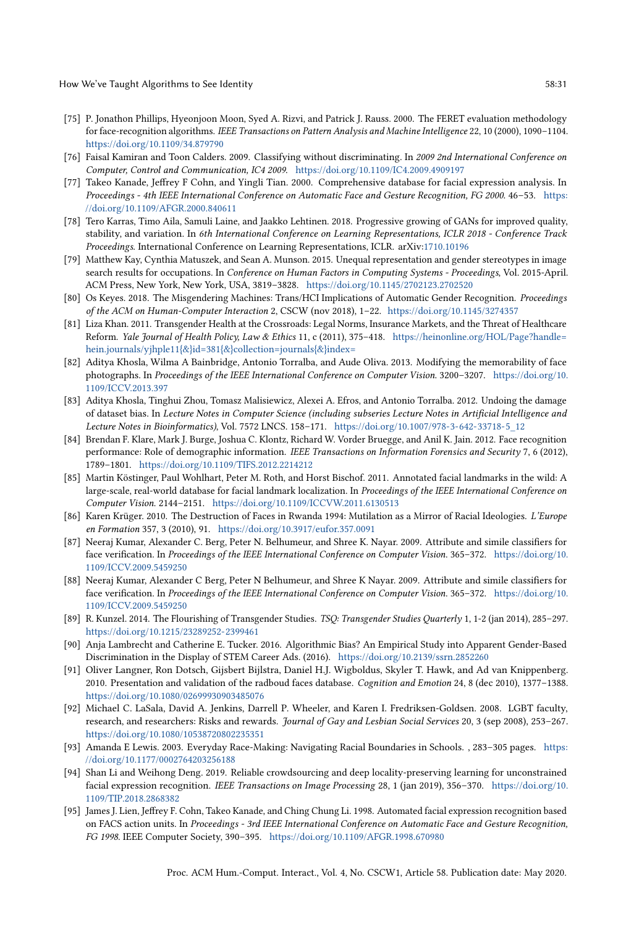How We've Taught Algorithms to See Identity 58:31 See Section 1, 1998 See Identity

- <span id="page-30-7"></span>[75] P. Jonathon Phillips, Hyeonjoon Moon, Syed A. Rizvi, and Patrick J. Rauss. 2000. The FERET evaluation methodology for face-recognition algorithms. IEEE Transactions on Pattern Analysis and Machine Intelligence 22, 10 (2000), 1090–1104. <https://doi.org/10.1109/34.879790>
- <span id="page-30-3"></span>[76] Faisal Kamiran and Toon Calders. 2009. Classifying without discriminating. In 2009 2nd International Conference on Computer, Control and Communication, IC4 2009. <https://doi.org/10.1109/IC4.2009.4909197>
- <span id="page-30-11"></span>[77] Takeo Kanade, Jeffrey F Cohn, and Yingli Tian. 2000. Comprehensive database for facial expression analysis. In Proceedings - 4th IEEE International Conference on Automatic Face and Gesture Recognition, FG 2000. 46–53. [https:](https://doi.org/10.1109/AFGR.2000.840611) [//doi.org/10.1109/AFGR.2000.840611](https://doi.org/10.1109/AFGR.2000.840611)
- <span id="page-30-10"></span>[78] Tero Karras, Timo Aila, Samuli Laine, and Jaakko Lehtinen. 2018. Progressive growing of GANs for improved quality, stability, and variation. In 6th International Conference on Learning Representations, ICLR 2018 - Conference Track Proceedings. International Conference on Learning Representations, ICLR. arXiv[:1710.10196](http://arxiv.org/abs/1710.10196)
- <span id="page-30-5"></span>[79] Matthew Kay, Cynthia Matuszek, and Sean A. Munson. 2015. Unequal representation and gender stereotypes in image search results for occupations. In Conference on Human Factors in Computing Systems - Proceedings, Vol. 2015-April. ACM Press, New York, New York, USA, 3819–3828. <https://doi.org/10.1145/2702123.2702520>
- <span id="page-30-0"></span>[80] Os Keyes. 2018. The Misgendering Machines: Trans/HCI Implications of Automatic Gender Recognition. Proceedings of the ACM on Human-Computer Interaction 2, CSCW (nov 2018), 1–22. <https://doi.org/10.1145/3274357>
- <span id="page-30-19"></span>[81] Liza Khan. 2011. Transgender Health at the Crossroads: Legal Norms, Insurance Markets, and the Threat of Healthcare Reform. Yale Journal of Health Policy, Law & Ethics 11, c (2011), 375-418. [https://heinonline.org/HOL/Page?handle=](https://heinonline.org/HOL/Page?handle=hein.journals/yjhple11{&}id=381{&}collection=journals{&}index=) [hein.journals/yjhple11{&}id=381{&}collection=journals{&}index=](https://heinonline.org/HOL/Page?handle=hein.journals/yjhple11{&}id=381{&}collection=journals{&}index=)
- <span id="page-30-16"></span>[82] Aditya Khosla, Wilma A Bainbridge, Antonio Torralba, and Aude Oliva. 2013. Modifying the memorability of face photographs. In Proceedings of the IEEE International Conference on Computer Vision. 3200–3207. [https://doi.org/10.](https://doi.org/10.1109/ICCV.2013.397) [1109/ICCV.2013.397](https://doi.org/10.1109/ICCV.2013.397)
- <span id="page-30-2"></span>[83] Aditya Khosla, Tinghui Zhou, Tomasz Malisiewicz, Alexei A. Efros, and Antonio Torralba. 2012. Undoing the damage of dataset bias. In Lecture Notes in Computer Science (including subseries Lecture Notes in Artificial Intelligence and Lecture Notes in Bioinformatics), Vol. 7572 LNCS. 158–171. [https://doi.org/10.1007/978-3-642-33718-5\\_12](https://doi.org/10.1007/978-3-642-33718-5_12)
- <span id="page-30-1"></span>[84] Brendan F. Klare, Mark J. Burge, Joshua C. Klontz, Richard W. Vorder Bruegge, and Anil K. Jain. 2012. Face recognition performance: Role of demographic information. IEEE Transactions on Information Forensics and Security 7, 6 (2012), 1789–1801. <https://doi.org/10.1109/TIFS.2012.2214212>
- <span id="page-30-12"></span>[85] Martin Köstinger, Paul Wohlhart, Peter M. Roth, and Horst Bischof. 2011. Annotated facial landmarks in the wild: A large-scale, real-world database for facial landmark localization. In Proceedings of the IEEE International Conference on Computer Vision. 2144–2151. <https://doi.org/10.1109/ICCVW.2011.6130513>
- <span id="page-30-4"></span>[86] Karen Krüger. 2010. The Destruction of Faces in Rwanda 1994: Mutilation as a Mirror of Racial Ideologies. L'Europe en Formation 357, 3 (2010), 91. <https://doi.org/10.3917/eufor.357.0091>
- <span id="page-30-14"></span>[87] Neeraj Kumar, Alexander C. Berg, Peter N. Belhumeur, and Shree K. Nayar. 2009. Attribute and simile classifiers for face verification. In Proceedings of the IEEE International Conference on Computer Vision. 365–372. [https://doi.org/10.](https://doi.org/10.1109/ICCV.2009.5459250) [1109/ICCV.2009.5459250](https://doi.org/10.1109/ICCV.2009.5459250)
- <span id="page-30-15"></span>[88] Neeraj Kumar, Alexander C Berg, Peter N Belhumeur, and Shree K Nayar. 2009. Attribute and simile classifiers for face verification. In Proceedings of the IEEE International Conference on Computer Vision. 365–372. [https://doi.org/10.](https://doi.org/10.1109/ICCV.2009.5459250) [1109/ICCV.2009.5459250](https://doi.org/10.1109/ICCV.2009.5459250)
- <span id="page-30-18"></span>[89] R. Kunzel. 2014. The Flourishing of Transgender Studies. TSQ: Transgender Studies Quarterly 1, 1-2 (jan 2014), 285–297. <https://doi.org/10.1215/23289252-2399461>
- <span id="page-30-17"></span>[90] Anja Lambrecht and Catherine E. Tucker. 2016. Algorithmic Bias? An Empirical Study into Apparent Gender-Based Discrimination in the Display of STEM Career Ads. (2016). <https://doi.org/10.2139/ssrn.2852260>
- <span id="page-30-13"></span>[91] Oliver Langner, Ron Dotsch, Gijsbert Bijlstra, Daniel H.J. Wigboldus, Skyler T. Hawk, and Ad van Knippenberg. 2010. Presentation and validation of the radboud faces database. Cognition and Emotion 24, 8 (dec 2010), 1377–1388. <https://doi.org/10.1080/02699930903485076>
- <span id="page-30-20"></span>[92] Michael C. LaSala, David A. Jenkins, Darrell P. Wheeler, and Karen I. Fredriksen-Goldsen. 2008. LGBT faculty, research, and researchers: Risks and rewards. Journal of Gay and Lesbian Social Services 20, 3 (sep 2008), 253–267. <https://doi.org/10.1080/10538720802235351>
- <span id="page-30-8"></span>[93] Amanda E Lewis. 2003. Everyday Race-Making: Navigating Racial Boundaries in Schools. , 283–305 pages. [https:](https://doi.org/10.1177/0002764203256188) [//doi.org/10.1177/0002764203256188](https://doi.org/10.1177/0002764203256188)
- <span id="page-30-9"></span>[94] Shan Li and Weihong Deng. 2019. Reliable crowdsourcing and deep locality-preserving learning for unconstrained facial expression recognition. IEEE Transactions on Image Processing 28, 1 (jan 2019), 356–370. [https://doi.org/10.](https://doi.org/10.1109/TIP.2018.2868382) [1109/TIP.2018.2868382](https://doi.org/10.1109/TIP.2018.2868382)
- <span id="page-30-6"></span>[95] James J. Lien, Jeffrey F. Cohn, Takeo Kanade, and Ching Chung Li. 1998. Automated facial expression recognition based on FACS action units. In Proceedings - 3rd IEEE International Conference on Automatic Face and Gesture Recognition, FG 1998. IEEE Computer Society, 390–395. <https://doi.org/10.1109/AFGR.1998.670980>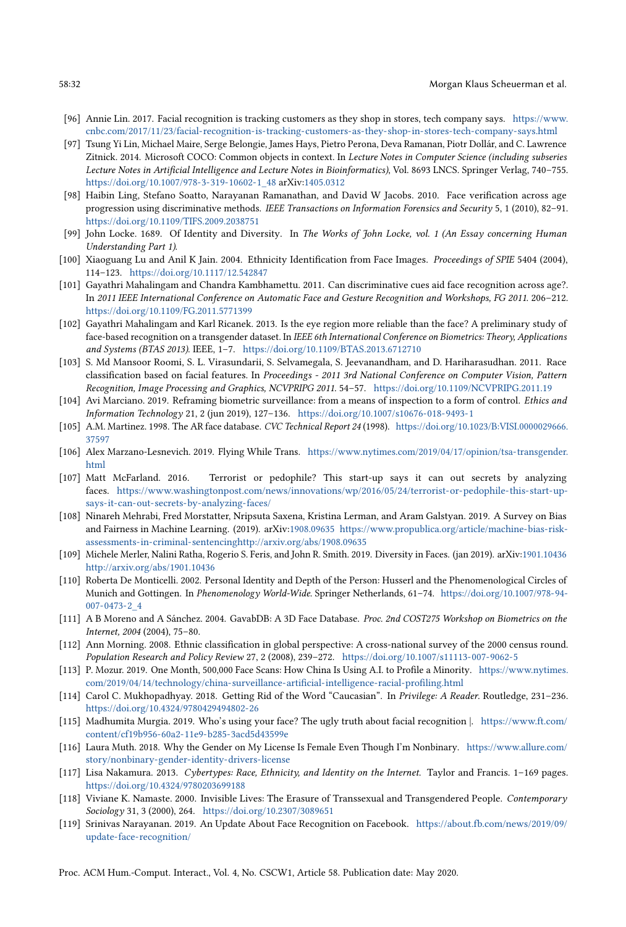- <span id="page-31-1"></span>[96] Annie Lin. 2017. Facial recognition is tracking customers as they shop in stores, tech company says. [https://www.](https://www.cnbc.com/2017/11/23/facial-recognition-is-tracking-customers-as-they-shop-in-stores-tech-company-says.html) [cnbc.com/2017/11/23/facial-recognition-is-tracking-customers-as-they-shop-in-stores-tech-company-says.html](https://www.cnbc.com/2017/11/23/facial-recognition-is-tracking-customers-as-they-shop-in-stores-tech-company-says.html)
- <span id="page-31-15"></span>[97] Tsung Yi Lin, Michael Maire, Serge Belongie, James Hays, Pietro Perona, Deva Ramanan, Piotr Dollár, and C. Lawrence Zitnick. 2014. Microsoft COCO: Common objects in context. In Lecture Notes in Computer Science (including subseries Lecture Notes in Artificial Intelligence and Lecture Notes in Bioinformatics), Vol. 8693 LNCS. Springer Verlag, 740–755. [https://doi.org/10.1007/978-3-319-10602-1\\_48](https://doi.org/10.1007/978-3-319-10602-1_48) arXiv[:1405.0312](http://arxiv.org/abs/1405.0312)
- <span id="page-31-20"></span>[98] Haibin Ling, Stefano Soatto, Narayanan Ramanathan, and David W Jacobs. 2010. Face verification across age progression using discriminative methods. IEEE Transactions on Information Forensics and Security 5, 1 (2010), 82–91. <https://doi.org/10.1109/TIFS.2009.2038751>
- <span id="page-31-5"></span>[99] John Locke. 1689. Of Identity and Diversity. In The Works of John Locke, vol. 1 (An Essay concerning Human Understanding Part 1).
- <span id="page-31-12"></span>[100] Xiaoguang Lu and Anil K Jain. 2004. Ethnicity Identification from Face Images. Proceedings of SPIE 5404 (2004), 114–123. <https://doi.org/10.1117/12.542847>
- <span id="page-31-14"></span>[101] Gayathri Mahalingam and Chandra Kambhamettu. 2011. Can discriminative cues aid face recognition across age?. In 2011 IEEE International Conference on Automatic Face and Gesture Recognition and Workshops, FG 2011. 206–212. <https://doi.org/10.1109/FG.2011.5771399>
- <span id="page-31-18"></span>[102] Gayathri Mahalingam and Karl Ricanek. 2013. Is the eye region more reliable than the face? A preliminary study of face-based recognition on a transgender dataset. In IEEE 6th International Conference on Biometrics: Theory, Applications and Systems (BTAS 2013). IEEE, 1–7. <https://doi.org/10.1109/BTAS.2013.6712710>
- <span id="page-31-13"></span>[103] S. Md Mansoor Roomi, S. L. Virasundarii, S. Selvamegala, S. Jeevanandham, and D. Hariharasudhan. 2011. Race classification based on facial features. In Proceedings - 2011 3rd National Conference on Computer Vision, Pattern Recognition, Image Processing and Graphics, NCVPRIPG 2011. 54–57. <https://doi.org/10.1109/NCVPRIPG.2011.19>
- <span id="page-31-3"></span>[104] Avi Marciano. 2019. Reframing biometric surveillance: from a means of inspection to a form of control. Ethics and Information Technology 21, 2 (jun 2019), 127–136. <https://doi.org/10.1007/s10676-018-9493-1>
- <span id="page-31-16"></span>[105] A.M. Martinez. 1998. The AR face database. CVC Technical Report 24 (1998). [https://doi.org/10.1023/B:VISI.0000029666.](https://doi.org/10.1023/B:VISI.0000029666.37597) [37597](https://doi.org/10.1023/B:VISI.0000029666.37597)
- <span id="page-31-9"></span>[106] Alex Marzano-Lesnevich. 2019. Flying While Trans. [https://www.nytimes.com/2019/04/17/opinion/tsa-transgender.](https://www.nytimes.com/2019/04/17/opinion/tsa-transgender.html) [html](https://www.nytimes.com/2019/04/17/opinion/tsa-transgender.html)
- <span id="page-31-8"></span>[107] Matt McFarland. 2016. Terrorist or pedophile? This start-up says it can out secrets by analyzing faces. [https://www.washingtonpost.com/news/innovations/wp/2016/05/24/terrorist-or-pedophile-this-start-up](https://www.washingtonpost.com/news/innovations/wp/2016/05/24/terrorist-or-pedophile-this-start-up-says-it-can-out-secrets-by-analyzing-faces/)[says-it-can-out-secrets-by-analyzing-faces/](https://www.washingtonpost.com/news/innovations/wp/2016/05/24/terrorist-or-pedophile-this-start-up-says-it-can-out-secrets-by-analyzing-faces/)
- <span id="page-31-2"></span>[108] Ninareh Mehrabi, Fred Morstatter, Nripsuta Saxena, Kristina Lerman, and Aram Galstyan. 2019. A Survey on Bias and Fairness in Machine Learning. (2019). arXiv[:1908.09635](http://arxiv.org/abs/1908.09635) [https://www.propublica.org/article/machine-bias-risk](https://www.propublica.org/article/machine-bias-risk-assessments-in-criminal-sentencing http://arxiv.org/abs/1908.09635)[assessments-in-criminal-sentencinghttp://arxiv.org/abs/1908.09635](https://www.propublica.org/article/machine-bias-risk-assessments-in-criminal-sentencing http://arxiv.org/abs/1908.09635)
- <span id="page-31-17"></span>[109] Michele Merler, Nalini Ratha, Rogerio S. Feris, and John R. Smith. 2019. Diversity in Faces. (jan 2019). arXiv[:1901.10436](http://arxiv.org/abs/1901.10436) <http://arxiv.org/abs/1901.10436>
- <span id="page-31-6"></span>[110] Roberta De Monticelli. 2002. Personal Identity and Depth of the Person: Husserl and the Phenomenological Circles of Munich and Gottingen. In Phenomenology World-Wide. Springer Netherlands, 61–74. [https://doi.org/10.1007/978-94-](https://doi.org/10.1007/978-94-007-0473-2_4) [007-0473-2\\_4](https://doi.org/10.1007/978-94-007-0473-2_4)
- <span id="page-31-19"></span>[111] A B Moreno and A Sánchez. 2004. GavabDB: A 3D Face Database. Proc. 2nd COST275 Workshop on Biometrics on the Internet, 2004 (2004), 75–80.
- <span id="page-31-22"></span>[112] Ann Morning. 2008. Ethnic classification in global perspective: A cross-national survey of the 2000 census round. Population Research and Policy Review 27, 2 (2008), 239–272. <https://doi.org/10.1007/s11113-007-9062-5>
- <span id="page-31-11"></span>[113] P. Mozur. 2019. One Month, 500,000 Face Scans: How China Is Using A.I. to Profile a Minority. [https://www.nytimes.](https://www.nytimes.com/2019/04/14/technology/china-surveillance-artificial-intelligence-racial-profiling.html) [com/2019/04/14/technology/china-surveillance-artificial-intelligence-racial-profiling.html](https://www.nytimes.com/2019/04/14/technology/china-surveillance-artificial-intelligence-racial-profiling.html)
- <span id="page-31-21"></span>[114] Carol C. Mukhopadhyay. 2018. Getting Rid of the Word "Caucasian". In Privilege: A Reader. Routledge, 231–236. <https://doi.org/10.4324/9780429494802-26>
- <span id="page-31-23"></span>[115] Madhumita Murgia. 2019. Who's using your face? The ugly truth about facial recognition |. [https://www.ft.com/](https://www.ft.com/content/cf19b956-60a2-11e9-b285-3acd5d43599e) [content/cf19b956-60a2-11e9-b285-3acd5d43599e](https://www.ft.com/content/cf19b956-60a2-11e9-b285-3acd5d43599e)
- <span id="page-31-10"></span>[116] Laura Muth. 2018. Why the Gender on My License Is Female Even Though I'm Nonbinary. [https://www.allure.com/](https://www.allure.com/story/nonbinary-gender-identity-drivers-license) [story/nonbinary-gender-identity-drivers-license](https://www.allure.com/story/nonbinary-gender-identity-drivers-license)
- <span id="page-31-4"></span>[117] Lisa Nakamura. 2013. Cybertypes: Race, Ethnicity, and Identity on the Internet. Taylor and Francis. 1–169 pages. <https://doi.org/10.4324/9780203699188>
- <span id="page-31-7"></span>[118] Viviane K. Namaste. 2000. Invisible Lives: The Erasure of Transsexual and Transgendered People. Contemporary Sociology 31, 3 (2000), 264. <https://doi.org/10.2307/3089651>
- <span id="page-31-0"></span>[119] Srinivas Narayanan. 2019. An Update About Face Recognition on Facebook. [https://about.fb.com/news/2019/09/](https://about.fb.com/news/2019/09/update-face-recognition/) [update-face-recognition/](https://about.fb.com/news/2019/09/update-face-recognition/)

Proc. ACM Hum.-Comput. Interact., Vol. 4, No. CSCW1, Article 58. Publication date: May 2020.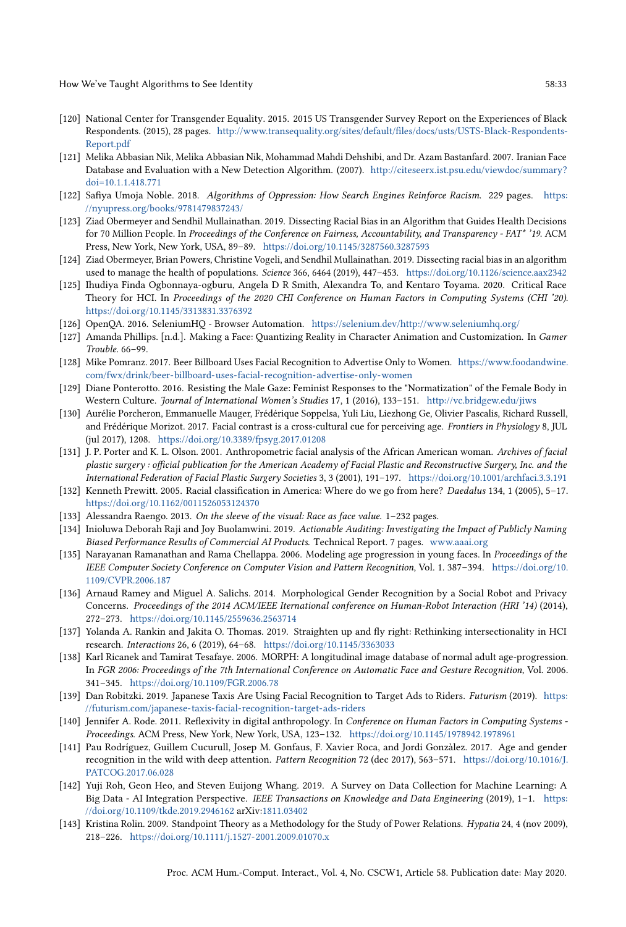- <span id="page-32-19"></span>[120] National Center for Transgender Equality. 2015. 2015 US Transgender Survey Report on the Experiences of Black Respondents. (2015), 28 pages. [http://www.transequality.org/sites/default/files/docs/usts/USTS-Black-Respondents-](http://www.transequality.org/sites/default/files/docs/usts/USTS-Black-Respondents-Report.pdf)[Report.pdf](http://www.transequality.org/sites/default/files/docs/usts/USTS-Black-Respondents-Report.pdf)
- <span id="page-32-14"></span>[121] Melika Abbasian Nik, Melika Abbasian Nik, Mohammad Mahdi Dehshibi, and Dr. Azam Bastanfard. 2007. Iranian Face Database and Evaluation with a New Detection Algorithm. (2007). [http://citeseerx.ist.psu.edu/viewdoc/summary?](http://citeseerx.ist.psu.edu/viewdoc/summary?doi=10.1.1.418.771) [doi=10.1.1.418.771](http://citeseerx.ist.psu.edu/viewdoc/summary?doi=10.1.1.418.771)
- <span id="page-32-4"></span>[122] Safiya Umoja Noble. 2018. Algorithms of Oppression: How Search Engines Reinforce Racism. 229 pages. [https:](https://nyupress.org/books/9781479837243/) [//nyupress.org/books/9781479837243/](https://nyupress.org/books/9781479837243/)
- <span id="page-32-5"></span>[123] Ziad Obermeyer and Sendhil Mullainathan. 2019. Dissecting Racial Bias in an Algorithm that Guides Health Decisions for 70 Million People. In Proceedings of the Conference on Fairness, Accountability, and Transparency - FAT\* '19. ACM Press, New York, New York, USA, 89–89. <https://doi.org/10.1145/3287560.3287593>
- <span id="page-32-16"></span>[124] Ziad Obermeyer, Brian Powers, Christine Vogeli, and Sendhil Mullainathan. 2019. Dissecting racial bias in an algorithm used to manage the health of populations. Science 366, 6464 (2019), 447-453. <https://doi.org/10.1126/science.aax2342>
- <span id="page-32-21"></span>[125] Ihudiya Finda Ogbonnaya-ogburu, Angela D R Smith, Alexandra To, and Kentaro Toyama. 2020. Critical Race Theory for HCI. In Proceedings of the 2020 CHI Conference on Human Factors in Computing Systems (CHI '20). <https://doi.org/10.1145/3313831.3376392>
- <span id="page-32-10"></span>[126] OpenQA. 2016. SeleniumHQ - Browser Automation. [https://selenium.dev/http://www.seleniumhq.org/](https://selenium.dev/ http://www.seleniumhq.org/)
- <span id="page-32-3"></span>[127] Amanda Phillips. [n.d.]. Making a Face: Quantizing Reality in Character Animation and Customization. In Gamer Trouble. 66–99.
- <span id="page-32-0"></span>[128] Mike Pomranz. 2017. Beer Billboard Uses Facial Recognition to Advertise Only to Women. [https://www.foodandwine.](https://www.foodandwine.com/fwx/drink/beer-billboard-uses-facial-recognition-advertise-only-women) [com/fwx/drink/beer-billboard-uses-facial-recognition-advertise-only-women](https://www.foodandwine.com/fwx/drink/beer-billboard-uses-facial-recognition-advertise-only-women)
- <span id="page-32-18"></span>[129] Diane Ponterotto. 2016. Resisting the Male Gaze: Feminist Responses to the "Normatization" of the Female Body in Western Culture. Journal of International Women's Studies 17, 1 (2016), 133-151. <http://vc.bridgew.edu/jiws>
- <span id="page-32-11"></span>[130] Aurélie Porcheron, Emmanuelle Mauger, Frédérique Soppelsa, Yuli Liu, Liezhong Ge, Olivier Pascalis, Richard Russell, and Frédérique Morizot. 2017. Facial contrast is a cross-cultural cue for perceiving age. Frontiers in Physiology 8, JUL (jul 2017), 1208. <https://doi.org/10.3389/fpsyg.2017.01208>
- <span id="page-32-12"></span>[131] J. P. Porter and K. L. Olson. 2001. Anthropometric facial analysis of the African American woman. Archives of facial plastic surgery : official publication for the American Academy of Facial Plastic and Reconstructive Surgery, Inc. and the International Federation of Facial Plastic Surgery Societies 3, 3 (2001), 191–197. <https://doi.org/10.1001/archfaci.3.3.191>
- <span id="page-32-17"></span>[132] Kenneth Prewitt. 2005. Racial classification in America: Where do we go from here? Daedalus 134, 1 (2005), 5–17. <https://doi.org/10.1162/0011526053124370>
- <span id="page-32-9"></span>[133] Alessandra Raengo. 2013. On the sleeve of the visual: Race as face value. 1–232 pages.
- <span id="page-32-2"></span>[134] Inioluwa Deborah Raji and Joy Buolamwini. 2019. Actionable Auditing: Investigating the Impact of Publicly Naming Biased Performance Results of Commercial AI Products. Technical Report. 7 pages. <www.aaai.org>
- <span id="page-32-13"></span>[135] Narayanan Ramanathan and Rama Chellappa. 2006. Modeling age progression in young faces. In Proceedings of the IEEE Computer Society Conference on Computer Vision and Pattern Recognition, Vol. 1. 387–394. [https://doi.org/10.](https://doi.org/10.1109/CVPR.2006.187) [1109/CVPR.2006.187](https://doi.org/10.1109/CVPR.2006.187)
- <span id="page-32-6"></span>[136] Arnaud Ramey and Miguel A. Salichs. 2014. Morphological Gender Recognition by a Social Robot and Privacy Concerns. Proceedings of the 2014 ACM/IEEE Iternational conference on Human-Robot Interaction (HRI '14) (2014), 272–273. <https://doi.org/10.1145/2559636.2563714>
- <span id="page-32-23"></span>[137] Yolanda A. Rankin and Jakita O. Thomas. 2019. Straighten up and fly right: Rethinking intersectionality in HCI research. Interactions 26, 6 (2019), 64–68. <https://doi.org/10.1145/3363033>
- <span id="page-32-15"></span>[138] Karl Ricanek and Tamirat Tesafaye. 2006. MORPH: A longitudinal image database of normal adult age-progression. In FGR 2006: Proceedings of the 7th International Conference on Automatic Face and Gesture Recognition, Vol. 2006. 341–345. <https://doi.org/10.1109/FGR.2006.78>
- <span id="page-32-1"></span>[139] Dan Robitzki. 2019. Japanese Taxis Are Using Facial Recognition to Target Ads to Riders. Futurism (2019). [https:](https://futurism.com/japanese-taxis-facial-recognition-target-ads-riders) [//futurism.com/japanese-taxis-facial-recognition-target-ads-riders](https://futurism.com/japanese-taxis-facial-recognition-target-ads-riders)
- <span id="page-32-20"></span>[140] Jennifer A. Rode. 2011. Reflexivity in digital anthropology. In Conference on Human Factors in Computing Systems - Proceedings. ACM Press, New York, New York, USA, 123–132. <https://doi.org/10.1145/1978942.1978961>
- <span id="page-32-7"></span>[141] Pau Rodríguez, Guillem Cucurull, Josep M. Gonfaus, F. Xavier Roca, and Jordi Gonzàlez. 2017. Age and gender recognition in the wild with deep attention. Pattern Recognition 72 (dec 2017), 563-571. [https://doi.org/10.1016/J.](https://doi.org/10.1016/J.PATCOG.2017.06.028) [PATCOG.2017.06.028](https://doi.org/10.1016/J.PATCOG.2017.06.028)
- <span id="page-32-8"></span>[142] Yuji Roh, Geon Heo, and Steven Euijong Whang. 2019. A Survey on Data Collection for Machine Learning: A Big Data - AI Integration Perspective. IEEE Transactions on Knowledge and Data Engineering (2019), 1-1. [https:](https://doi.org/10.1109/tkde.2019.2946162) [//doi.org/10.1109/tkde.2019.2946162](https://doi.org/10.1109/tkde.2019.2946162) arXiv[:1811.03402](http://arxiv.org/abs/1811.03402)
- <span id="page-32-22"></span>[143] Kristina Rolin. 2009. Standpoint Theory as a Methodology for the Study of Power Relations. Hypatia 24, 4 (nov 2009), 218–226. <https://doi.org/10.1111/j.1527-2001.2009.01070.x>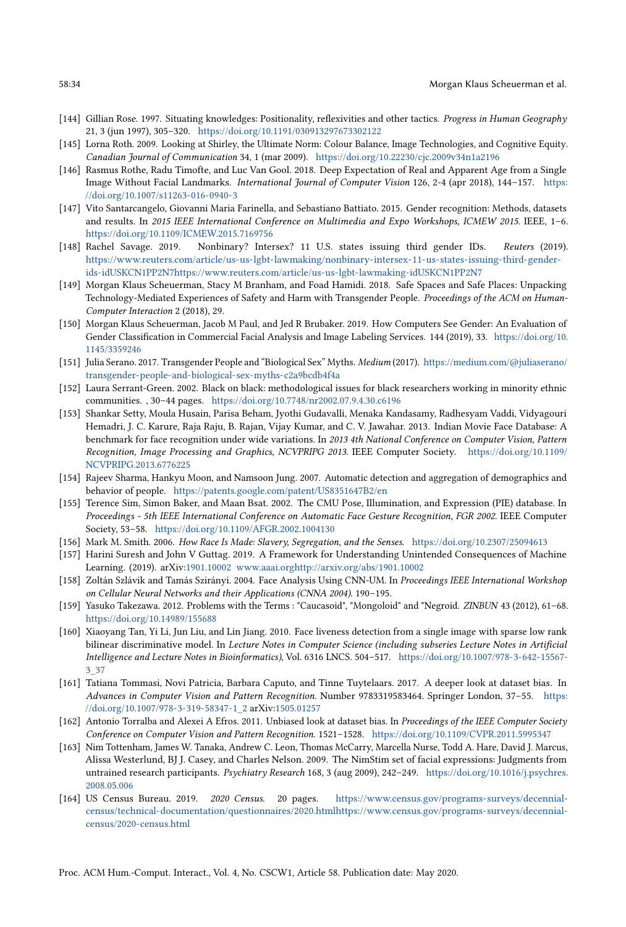- <span id="page-33-18"></span>[144] Gillian Rose. 1997. Situating knowledges: Positionality, reflexivities and other tactics. Progress in Human Geography 21, 3 (jun 1997), 305–320. <https://doi.org/10.1191/030913297673302122>
- <span id="page-33-14"></span>[145] Lorna Roth. 2009. Looking at Shirley, the Ultimate Norm: Colour Balance, Image Technologies, and Cognitive Equity. Canadian Journal of Communication 34, 1 (mar 2009). <https://doi.org/10.22230/cjc.2009v34n1a2196>
- <span id="page-33-16"></span>[146] Rasmus Rothe, Radu Timofte, and Luc Van Gool. 2018. Deep Expectation of Real and Apparent Age from a Single Image Without Facial Landmarks. International Journal of Computer Vision 126, 2-4 (apr 2018), 144–157. [https:](https://doi.org/10.1007/s11263-016-0940-3) [//doi.org/10.1007/s11263-016-0940-3](https://doi.org/10.1007/s11263-016-0940-3)
- <span id="page-33-9"></span>[147] Vito Santarcangelo, Giovanni Maria Farinella, and Sebastiano Battiato. 2015. Gender recognition: Methods, datasets and results. In 2015 IEEE International Conference on Multimedia and Expo Workshops, ICMEW 2015. IEEE, 1–6. <https://doi.org/10.1109/ICMEW.2015.7169756>
- <span id="page-33-7"></span>[148] Rachel Savage. 2019. Nonbinary? Intersex? 11 U.S. states issuing third gender IDs. Reuters (2019). [https://www.reuters.com/article/us-us-lgbt-lawmaking/nonbinary-intersex-11-us-states-issuing-third-gender](https://www.reuters.com/article/us-us-lgbt-lawmaking/nonbinary-intersex-11-us-states-issuing-third-gender-ids-idUSKCN1PP2N7 https://www.reuters.com/article/us-us-lgbt-lawmaking-idUSKCN1PP2N7)[ids-idUSKCN1PP2N7https://www.reuters.com/article/us-us-lgbt-lawmaking-idUSKCN1PP2N7](https://www.reuters.com/article/us-us-lgbt-lawmaking/nonbinary-intersex-11-us-states-issuing-third-gender-ids-idUSKCN1PP2N7 https://www.reuters.com/article/us-us-lgbt-lawmaking-idUSKCN1PP2N7)
- <span id="page-33-5"></span>[149] Morgan Klaus Scheuerman, Stacy M Branham, and Foad Hamidi. 2018. Safe Spaces and Safe Places: Unpacking Technology-Mediated Experiences of Safety and Harm with Transgender People. Proceedings of the ACM on Human-Computer Interaction 2 (2018), 29.
- <span id="page-33-2"></span>[150] Morgan Klaus Scheuerman, Jacob M Paul, and Jed R Brubaker. 2019. How Computers See Gender: An Evaluation of Gender Classification in Commercial Facial Analysis and Image Labeling Services. 144 (2019), 33. [https://doi.org/10.](https://doi.org/10.1145/3359246) [1145/3359246](https://doi.org/10.1145/3359246)
- <span id="page-33-10"></span>[151] Julia Serano. 2017. Transgender People and "Biological Sex" Myths. Medium (2017). [https://medium.com/@juliaserano/](https://medium.com/@juliaserano/transgender-people-and-biological-sex-myths-c2a9bcdb4f4a) [transgender-people-and-biological-sex-myths-c2a9bcdb4f4a](https://medium.com/@juliaserano/transgender-people-and-biological-sex-myths-c2a9bcdb4f4a)
- <span id="page-33-20"></span>[152] Laura Serrant-Green. 2002. Black on black: methodological issues for black researchers working in minority ethnic communities. , 30–44 pages. <https://doi.org/10.7748/nr2002.07.9.4.30.c6196>
- <span id="page-33-15"></span>[153] Shankar Setty, Moula Husain, Parisa Beham, Jyothi Gudavalli, Menaka Kandasamy, Radhesyam Vaddi, Vidyagouri Hemadri, J. C. Karure, Raja Raju, B. Rajan, Vijay Kumar, and C. V. Jawahar. 2013. Indian Movie Face Database: A benchmark for face recognition under wide variations. In 2013 4th National Conference on Computer Vision, Pattern Recognition, Image Processing and Graphics, NCVPRIPG 2013. IEEE Computer Society. [https://doi.org/10.1109/](https://doi.org/10.1109/NCVPRIPG.2013.6776225) [NCVPRIPG.2013.6776225](https://doi.org/10.1109/NCVPRIPG.2013.6776225)
- <span id="page-33-1"></span>[154] Rajeev Sharma, Hankyu Moon, and Namsoon Jung. 2007. Automatic detection and aggregation of demographics and behavior of people. <https://patents.google.com/patent/US8351647B2/en>
- <span id="page-33-12"></span>[155] Terence Sim, Simon Baker, and Maan Bsat. 2002. The CMU Pose, Illumination, and Expression (PIE) database. In Proceedings - 5th IEEE International Conference on Automatic Face Gesture Recognition, FGR 2002. IEEE Computer Society, 53–58. <https://doi.org/10.1109/AFGR.2002.1004130>
- <span id="page-33-6"></span>[156] Mark M. Smith. 2006. How Race Is Made: Slavery, Segregation, and the Senses. <https://doi.org/10.2307/25094613>
- <span id="page-33-17"></span>[157] Harini Suresh and John V Guttag. 2019. A Framework for Understanding Unintended Consequences of Machine Learning. (2019). arXiv[:1901.10002](http://arxiv.org/abs/1901.10002) [www.aaai.orghttp://arxiv.org/abs/1901.10002](www.aaai.org http://arxiv.org/abs/1901.10002)
- <span id="page-33-8"></span>[158] Zoltán Szlávik and Tamás Szirányi. 2004. Face Analysis Using CNN-UM. In Proceedings IEEE International Workshop on Cellular Neural Networks and their Applications (CNNA 2004). 190–195.
- <span id="page-33-19"></span>[159] Yasuko Takezawa. 2012. Problems with the Terms : "Caucasoid", "Mongoloid" and "Negroid. ZINBUN 43 (2012), 61–68. <https://doi.org/10.14989/155688>
- <span id="page-33-11"></span>[160] Xiaoyang Tan, Yi Li, Jun Liu, and Lin Jiang. 2010. Face liveness detection from a single image with sparse low rank bilinear discriminative model. In Lecture Notes in Computer Science (including subseries Lecture Notes in Artificial Intelligence and Lecture Notes in Bioinformatics), Vol. 6316 LNCS. 504–517. [https://doi.org/10.1007/978-3-642-15567-](https://doi.org/10.1007/978-3-642-15567-3_37) [3\\_37](https://doi.org/10.1007/978-3-642-15567-3_37)
- <span id="page-33-3"></span>[161] Tatiana Tommasi, Novi Patricia, Barbara Caputo, and Tinne Tuytelaars. 2017. A deeper look at dataset bias. In Advances in Computer Vision and Pattern Recognition. Number 9783319583464. Springer London, 37–55. [https:](https://doi.org/10.1007/978-3-319-58347-1_2) [//doi.org/10.1007/978-3-319-58347-1\\_2](https://doi.org/10.1007/978-3-319-58347-1_2) arXiv[:1505.01257](http://arxiv.org/abs/1505.01257)
- <span id="page-33-4"></span>[162] Antonio Torralba and Alexei A Efros. 2011. Unbiased look at dataset bias. In Proceedings of the IEEE Computer Society Conference on Computer Vision and Pattern Recognition. 1521–1528. <https://doi.org/10.1109/CVPR.2011.5995347>
- <span id="page-33-13"></span>[163] Nim Tottenham, James W. Tanaka, Andrew C. Leon, Thomas McCarry, Marcella Nurse, Todd A. Hare, David J. Marcus, Alissa Westerlund, BJ J. Casey, and Charles Nelson. 2009. The NimStim set of facial expressions: Judgments from untrained research participants. Psychiatry Research 168, 3 (aug 2009), 242–249. [https://doi.org/10.1016/j.psychres.](https://doi.org/10.1016/j.psychres.2008.05.006) [2008.05.006](https://doi.org/10.1016/j.psychres.2008.05.006)
- <span id="page-33-0"></span>[164] US Census Bureau. 2019. 2020 Census. 20 pages. [https://www.census.gov/programs-surveys/decennial](https://www.census.gov/programs-surveys/decennial-census/technical-documentation/questionnaires/2020.html https://www.census.gov/programs-surveys/decennial-census/2020-census.html)[census/technical-documentation/questionnaires/2020.htmlhttps://www.census.gov/programs-surveys/decennial](https://www.census.gov/programs-surveys/decennial-census/technical-documentation/questionnaires/2020.html https://www.census.gov/programs-surveys/decennial-census/2020-census.html)[census/2020-census.html](https://www.census.gov/programs-surveys/decennial-census/technical-documentation/questionnaires/2020.html https://www.census.gov/programs-surveys/decennial-census/2020-census.html)